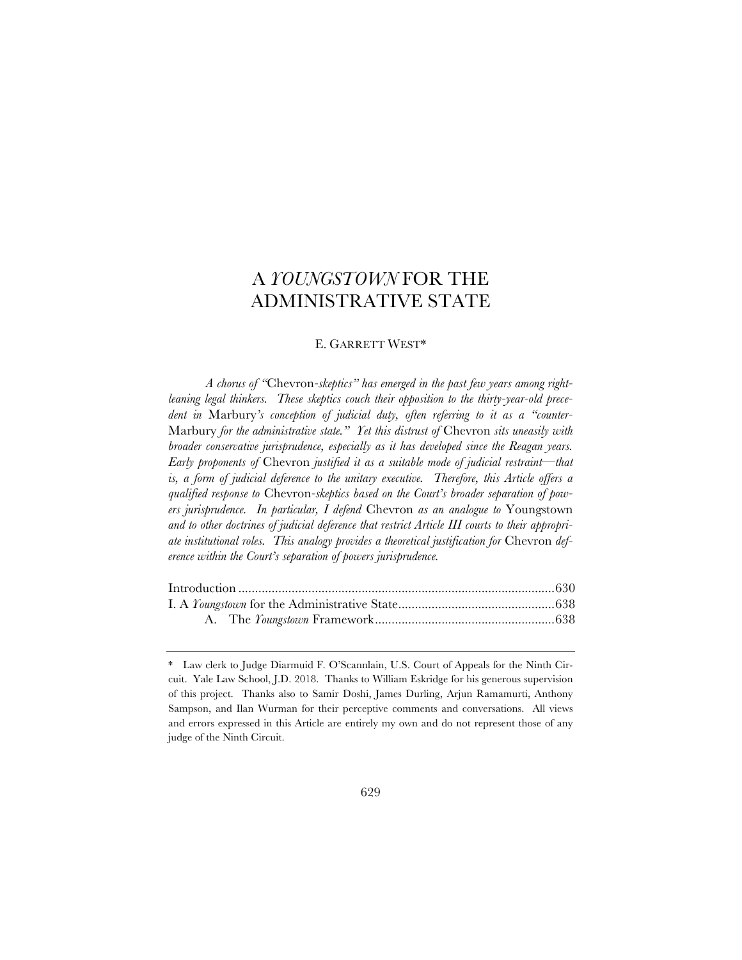# A *YOUNGSTOWN* FOR THE ADMINISTRATIVE STATE

# E. GARRETT WEST\*

*A chorus of "*Chevron*-skeptics" has emerged in the past few years among rightleaning legal thinkers. These skeptics couch their opposition to the thirty-year-old precedent in* Marbury*'s conception of judicial duty, often referring to it as a "counter-*Marbury *for the administrative state." Yet this distrust of* Chevron *sits uneasily with broader conservative jurisprudence, especially as it has developed since the Reagan years. Early proponents of* Chevron *justified it as a suitable mode of judicial restraint—that is, a form of judicial deference to the unitary executive. Therefore, this Article offers a qualified response to* Chevron*-skeptics based on the Court's broader separation of powers jurisprudence. In particular, I defend* Chevron *as an analogue to* Youngstown *and to other doctrines of judicial deference that restrict Article III courts to their appropriate institutional roles. This analogy provides a theoretical justification for* Chevron *deference within the Court's separation of powers jurisprudence.*

<sup>\*</sup> Law clerk to Judge Diarmuid F. O'Scannlain, U.S. Court of Appeals for the Ninth Circuit. Yale Law School, J.D. 2018. Thanks to William Eskridge for his generous supervision of this project. Thanks also to Samir Doshi, James Durling, Arjun Ramamurti, Anthony Sampson, and Ilan Wurman for their perceptive comments and conversations. All views and errors expressed in this Article are entirely my own and do not represent those of any judge of the Ninth Circuit.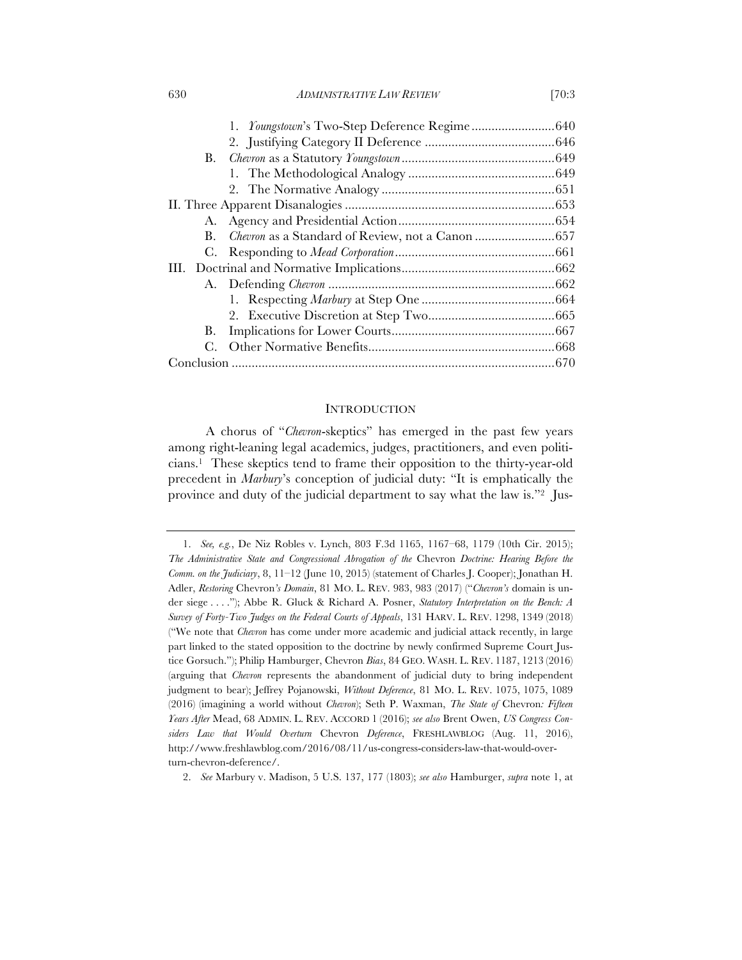#### 630 *ADMINISTRATIVE LAW REVIEW* [70:3

| А. |  |  |
|----|--|--|
| В. |  |  |
|    |  |  |
|    |  |  |
|    |  |  |
|    |  |  |
|    |  |  |
| В. |  |  |
|    |  |  |
|    |  |  |

#### INTRODUCTION

A chorus of "*Chevron*-skeptics" has emerged in the past few years among right-leaning legal academics, judges, practitioners, and even politicians.1 These skeptics tend to frame their opposition to the thirty-year-old precedent in *Marbury*'s conception of judicial duty: "It is emphatically the province and duty of the judicial department to say what the law is."2 Jus-

<sup>1.</sup> *See, e.g.*, De Niz Robles v. Lynch, 803 F.3d 1165, 1167–68, 1179 (10th Cir. 2015); *The Administrative State and Congressional Abrogation of the* Chevron *Doctrine: Hearing Before the Comm. on the Judiciary*, 8, 11–12 (June 10, 2015) (statement of Charles J. Cooper); Jonathan H. Adler, *Restoring* Chevron*'s Domain*, 81 MO. L. REV. 983, 983 (2017) ("*Chevron's* domain is under siege . . . ."); Abbe R. Gluck & Richard A. Posner, *Statutory Interpretation on the Bench: A Survey of Forty-Two Judges on the Federal Courts of Appeals*, 131 HARV. L. REV. 1298, 1349 (2018) ("We note that *Chevron* has come under more academic and judicial attack recently, in large part linked to the stated opposition to the doctrine by newly confirmed Supreme Court Justice Gorsuch."); Philip Hamburger, Chevron *Bias*, 84 GEO. WASH. L. REV. 1187, 1213 (2016) (arguing that *Chevron* represents the abandonment of judicial duty to bring independent judgment to bear); Jeffrey Pojanowski, *Without Deference*, 81 MO. L. REV. 1075, 1075, 1089 (2016) (imagining a world without *Chevron*); Seth P. Waxman, *The State of* Chevron*: Fifteen Years After* Mead, 68 ADMIN. L. REV. ACCORD 1 (2016); *see also* Brent Owen, *US Congress Considers Law that Would Overturn* Chevron *Deference*, FRESHLAWBLOG (Aug. 11, 2016), http://www.freshlawblog.com/2016/08/11/us-congress-considers-law-that-would-overturn-chevron-deference/.

<sup>2.</sup> *See* Marbury v. Madison, 5 U.S. 137, 177 (1803); *see also* Hamburger, *supra* note 1, at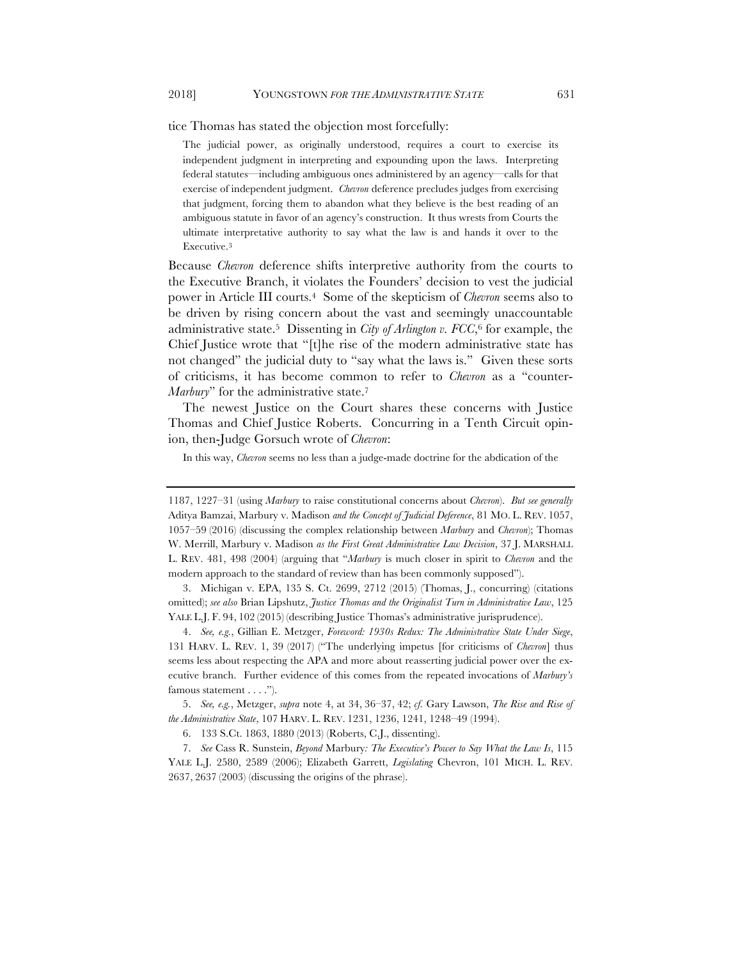tice Thomas has stated the objection most forcefully:

The judicial power, as originally understood, requires a court to exercise its independent judgment in interpreting and expounding upon the laws. Interpreting federal statutes—including ambiguous ones administered by an agency—calls for that exercise of independent judgment. *Chevron* deference precludes judges from exercising that judgment, forcing them to abandon what they believe is the best reading of an ambiguous statute in favor of an agency's construction. It thus wrests from Courts the ultimate interpretative authority to say what the law is and hands it over to the Executive.3

Because *Chevron* deference shifts interpretive authority from the courts to the Executive Branch, it violates the Founders' decision to vest the judicial power in Article III courts.4 Some of the skepticism of *Chevron* seems also to be driven by rising concern about the vast and seemingly unaccountable administrative state.5 Dissenting in *City of Arlington v. FCC*,6 for example, the Chief Justice wrote that "[t]he rise of the modern administrative state has not changed" the judicial duty to "say what the laws is." Given these sorts of criticisms, it has become common to refer to *Chevron* as a "counter-*Marbury*" for the administrative state.7

The newest Justice on the Court shares these concerns with Justice Thomas and Chief Justice Roberts. Concurring in a Tenth Circuit opinion, then-Judge Gorsuch wrote of *Chevron*:

In this way, *Chevron* seems no less than a judge-made doctrine for the abdication of the

5. *See, e.g.*, Metzger, *supra* note 4, at 34, 36–37, 42; *cf.* Gary Lawson, *The Rise and Rise of the Administrative State*, 107 HARV. L. REV. 1231, 1236, 1241, 1248–49 (1994).

<sup>1187, 1227–31</sup> (using *Marbury* to raise constitutional concerns about *Chevron*). *But see generally*  Aditya Bamzai, Marbury v. Madison *and the Concept of Judicial Deference*, 81 MO. L. REV. 1057, 1057–59 (2016) (discussing the complex relationship between *Marbury* and *Chevron*); Thomas W. Merrill, Marbury v. Madison *as the First Great Administrative Law Decision*, 37 J. MARSHALL L. REV. 481, 498 (2004) (arguing that "*Marbury* is much closer in spirit to *Chevron* and the modern approach to the standard of review than has been commonly supposed").

<sup>3.</sup> Michigan v. EPA, 135 S. Ct. 2699, 2712 (2015) (Thomas, J., concurring) (citations omitted); *see also* Brian Lipshutz, *Justice Thomas and the Originalist Turn in Administrative Law*, 125 YALE L.J. F. 94, 102 (2015) (describing Justice Thomas's administrative jurisprudence).

<sup>4.</sup> *See, e.g.*, Gillian E. Metzger, *Foreword: 1930s Redux: The Administrative State Under Siege*, 131 HARV. L. REV. 1, 39 (2017) ("The underlying impetus [for criticisms of *Chevron*] thus seems less about respecting the APA and more about reasserting judicial power over the executive branch. Further evidence of this comes from the repeated invocations of *Marbury's* famous statement . . . .").

<sup>6.</sup> 133 S.Ct. 1863, 1880 (2013) (Roberts, C.J., dissenting).

<sup>7.</sup> *See* Cass R. Sunstein, *Beyond* Marbury*: The Executive's Power to Say What the Law Is*, 115 YALE L.J. 2580, 2589 (2006); Elizabeth Garrett, *Legislating* Chevron, 101 MICH. L. REV. 2637, 2637 (2003) (discussing the origins of the phrase).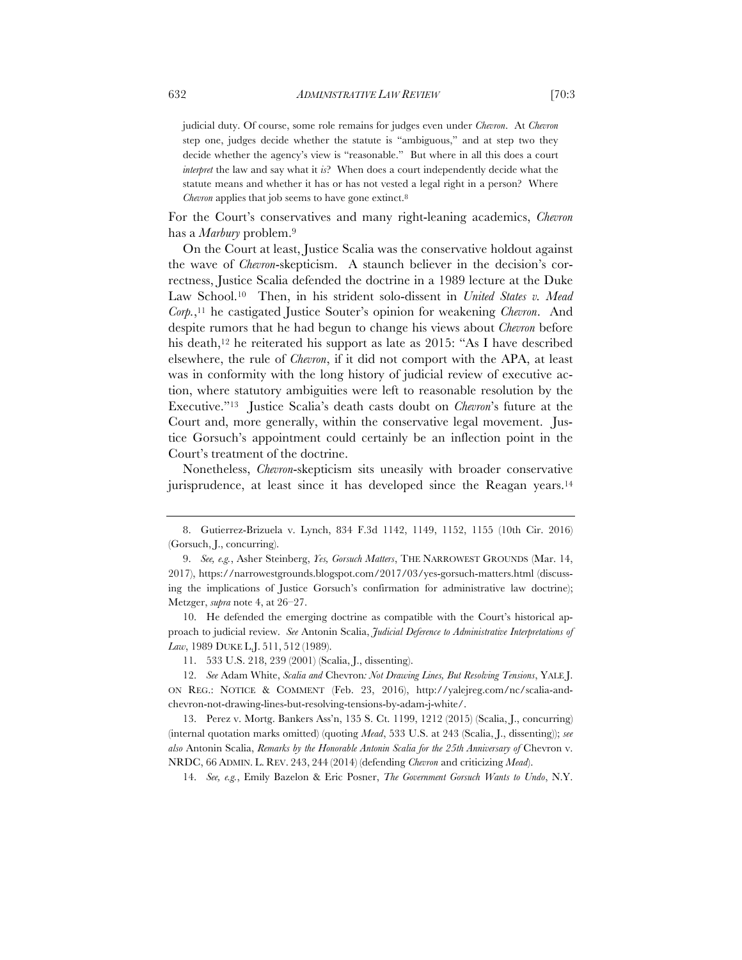judicial duty. Of course, some role remains for judges even under *Chevron*. At *Chevron* step one, judges decide whether the statute is "ambiguous," and at step two they decide whether the agency's view is "reasonable." But where in all this does a court *interpret* the law and say what it *is*? When does a court independently decide what the statute means and whether it has or has not vested a legal right in a person? Where *Chevron* applies that job seems to have gone extinct.<sup>8</sup>

For the Court's conservatives and many right-leaning academics, *Chevron* has a *Marbury* problem.9

On the Court at least, Justice Scalia was the conservative holdout against the wave of *Chevron*-skepticism. A staunch believer in the decision's correctness, Justice Scalia defended the doctrine in a 1989 lecture at the Duke Law School.10 Then, in his strident solo-dissent in *United States v. Mead Corp.*,11 he castigated Justice Souter's opinion for weakening *Chevron*. And despite rumors that he had begun to change his views about *Chevron* before his death,<sup>12</sup> he reiterated his support as late as 2015: "As I have described elsewhere, the rule of *Chevron*, if it did not comport with the APA, at least was in conformity with the long history of judicial review of executive action, where statutory ambiguities were left to reasonable resolution by the Executive."13 Justice Scalia's death casts doubt on *Chevron*'s future at the Court and, more generally, within the conservative legal movement. Justice Gorsuch's appointment could certainly be an inflection point in the Court's treatment of the doctrine.

Nonetheless, *Chevron*-skepticism sits uneasily with broader conservative jurisprudence, at least since it has developed since the Reagan years.14

10. He defended the emerging doctrine as compatible with the Court's historical approach to judicial review. *See* Antonin Scalia, *Judicial Deference to Administrative Interpretations of Law*, 1989 DUKE L.J. 511, 512 (1989).

14. *See, e.g.*, Emily Bazelon & Eric Posner, *The Government Gorsuch Wants to Undo*, N.Y.

<sup>8.</sup> Gutierrez-Brizuela v. Lynch, 834 F.3d 1142, 1149, 1152, 1155 (10th Cir. 2016) (Gorsuch, J., concurring).

<sup>9.</sup> *See, e.g.*, Asher Steinberg, *Yes, Gorsuch Matters*, THE NARROWEST GROUNDS (Mar. 14, 2017), https://narrowestgrounds.blogspot.com/2017/03/yes-gorsuch-matters.html (discussing the implications of Justice Gorsuch's confirmation for administrative law doctrine); Metzger, *supra* note 4, at 26–27.

<sup>11.</sup> 533 U.S. 218, 239 (2001) (Scalia, J., dissenting).

<sup>12.</sup> *See* Adam White, *Scalia and* Chevron*: Not Drawing Lines, But Resolving Tensions*, YALE J. ON REG.: NOTICE & COMMENT (Feb. 23, 2016), http://yalejreg.com/nc/scalia-andchevron-not-drawing-lines-but-resolving-tensions-by-adam-j-white/.

<sup>13.</sup> Perez v. Mortg. Bankers Ass'n, 135 S. Ct. 1199, 1212 (2015) (Scalia, J., concurring) (internal quotation marks omitted) (quoting *Mead*, 533 U.S. at 243 (Scalia, J., dissenting)); *see also* Antonin Scalia, *Remarks by the Honorable Antonin Scalia for the 25th Anniversary of* Chevron v. NRDC, 66 ADMIN. L. REV. 243, 244 (2014) (defending *Chevron* and criticizing *Mead*).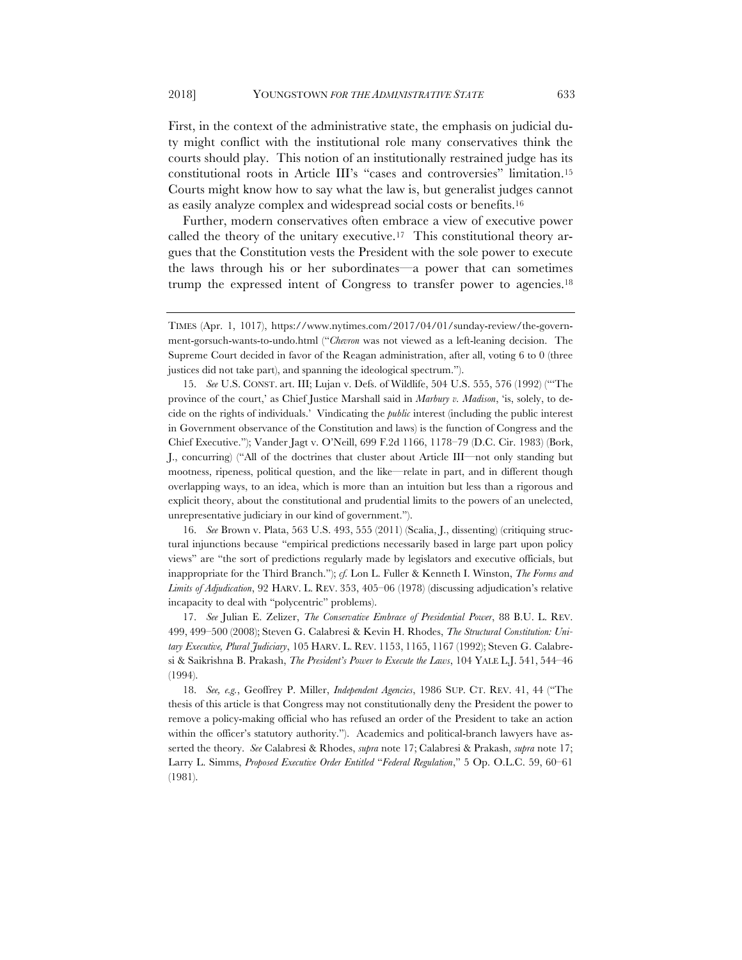First, in the context of the administrative state, the emphasis on judicial duty might conflict with the institutional role many conservatives think the courts should play. This notion of an institutionally restrained judge has its constitutional roots in Article III's "cases and controversies" limitation.15 Courts might know how to say what the law is, but generalist judges cannot as easily analyze complex and widespread social costs or benefits.16

Further, modern conservatives often embrace a view of executive power called the theory of the unitary executive.<sup>17</sup> This constitutional theory argues that the Constitution vests the President with the sole power to execute the laws through his or her subordinates—a power that can sometimes trump the expressed intent of Congress to transfer power to agencies.18

15. *See* U.S. CONST. art. III; Lujan v. Defs. of Wildlife, 504 U.S. 555, 576 (1992) ("'The province of the court,' as Chief Justice Marshall said in *Marbury v. Madison*, 'is, solely, to decide on the rights of individuals.' Vindicating the *public* interest (including the public interest in Government observance of the Constitution and laws) is the function of Congress and the Chief Executive."); Vander Jagt v. O'Neill, 699 F.2d 1166, 1178–79 (D.C. Cir. 1983) (Bork, J., concurring) ("All of the doctrines that cluster about Article III—not only standing but mootness, ripeness, political question, and the like—relate in part, and in different though overlapping ways, to an idea, which is more than an intuition but less than a rigorous and explicit theory, about the constitutional and prudential limits to the powers of an unelected, unrepresentative judiciary in our kind of government.").

16. *See* Brown v. Plata, 563 U.S. 493, 555 (2011) (Scalia, J., dissenting) (critiquing structural injunctions because "empirical predictions necessarily based in large part upon policy views" are "the sort of predictions regularly made by legislators and executive officials, but inappropriate for the Third Branch."); *cf.* Lon L. Fuller & Kenneth I. Winston, *The Forms and Limits of Adjudication*, 92 HARV. L. REV. 353, 405–06 (1978) (discussing adjudication's relative incapacity to deal with "polycentric" problems).

17. *See* Julian E. Zelizer, *The Conservative Embrace of Presidential Power*, 88 B.U. L. REV. 499, 499–500 (2008); Steven G. Calabresi & Kevin H. Rhodes, *The Structural Constitution: Unitary Executive, Plural Judiciary*, 105 HARV. L. REV. 1153, 1165, 1167 (1992); Steven G. Calabresi & Saikrishna B. Prakash, *The President's Power to Execute the Laws*, 104 YALE L.J. 541, 544–46 (1994).

18. *See, e.g.*, Geoffrey P. Miller, *Independent Agencies*, 1986 SUP. CT. REV. 41, 44 ("The thesis of this article is that Congress may not constitutionally deny the President the power to remove a policy-making official who has refused an order of the President to take an action within the officer's statutory authority."). Academics and political-branch lawyers have asserted the theory. *See* Calabresi & Rhodes, *supra* note 17; Calabresi & Prakash, *supra* note 17; Larry L. Simms, *Proposed Executive Order Entitled* "*Federal Regulation*," 5 Op. O.L.C. 59, 60–61 (1981).

TIMES (Apr. 1, 1017), https://www.nytimes.com/2017/04/01/sunday-review/the-government-gorsuch-wants-to-undo.html ("*Chevron* was not viewed as a left-leaning decision. The Supreme Court decided in favor of the Reagan administration, after all, voting 6 to 0 (three justices did not take part), and spanning the ideological spectrum.").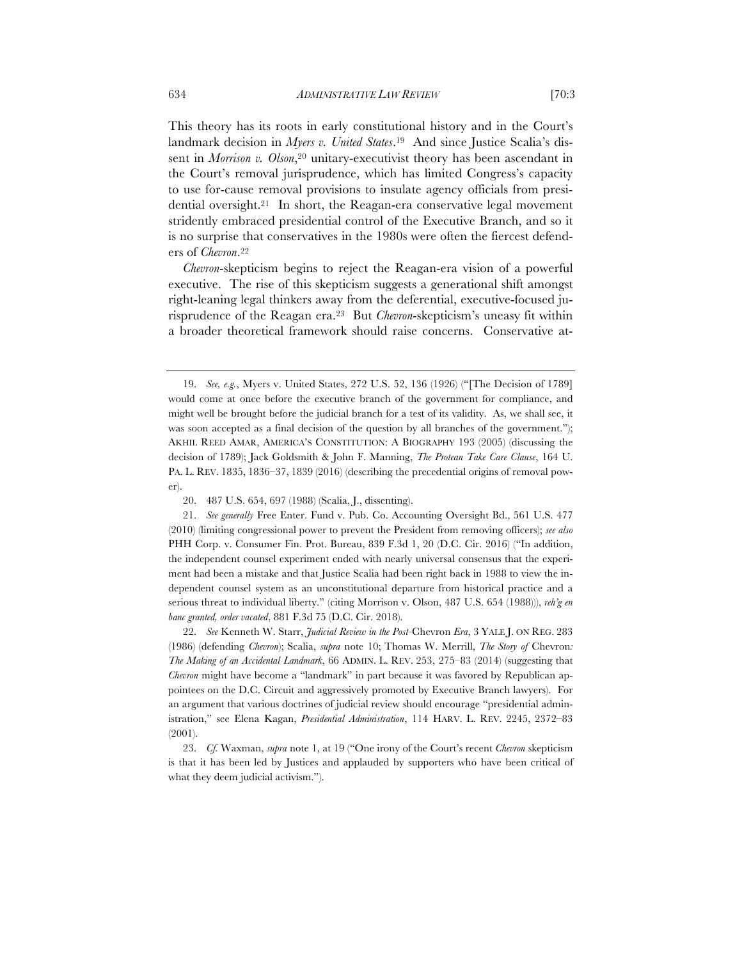landmark decision in *Myers v. United States*.19 And since Justice Scalia's dissent in *Morrison v. Olson*,<sup>20</sup> unitary-executivist theory has been ascendant in the Court's removal jurisprudence, which has limited Congress's capacity to use for-cause removal provisions to insulate agency officials from presidential oversight.21 In short, the Reagan-era conservative legal movement stridently embraced presidential control of the Executive Branch, and so it is no surprise that conservatives in the 1980s were often the fiercest defenders of *Chevron*.22

*Chevron*-skepticism begins to reject the Reagan-era vision of a powerful executive. The rise of this skepticism suggests a generational shift amongst right-leaning legal thinkers away from the deferential, executive-focused jurisprudence of the Reagan era.23 But *Chevron*-skepticism's uneasy fit within a broader theoretical framework should raise concerns. Conservative at-

22. *See* Kenneth W. Starr, *Judicial Review in the Post-*Chevron *Era*, 3 YALE J. ON REG. 283 (1986) (defending *Chevron*); Scalia, *supra* note 10; Thomas W. Merrill, *The Story of* Chevron*: The Making of an Accidental Landmark*, 66 ADMIN. L. REV. 253, 275–83 (2014) (suggesting that *Chevron* might have become a "landmark" in part because it was favored by Republican appointees on the D.C. Circuit and aggressively promoted by Executive Branch lawyers). For an argument that various doctrines of judicial review should encourage "presidential administration," see Elena Kagan, *Presidential Administration*, 114 HARV. L. REV. 2245, 2372–83 (2001).

23. *Cf.* Waxman, *supra* note 1, at 19 ("One irony of the Court's recent *Chevron* skepticism is that it has been led by Justices and applauded by supporters who have been critical of what they deem judicial activism.").

<sup>19.</sup> *See, e.g.*, Myers v. United States, 272 U.S. 52, 136 (1926) ("[The Decision of 1789] would come at once before the executive branch of the government for compliance, and might well be brought before the judicial branch for a test of its validity. As, we shall see, it was soon accepted as a final decision of the question by all branches of the government."); AKHIL REED AMAR, AMERICA'S CONSTITUTION: A BIOGRAPHY 193 (2005) (discussing the decision of 1789); Jack Goldsmith & John F. Manning, *The Protean Take Care Clause*, 164 U. PA. L. REV. 1835, 1836–37, 1839 (2016) (describing the precedential origins of removal power).

<sup>20.</sup> 487 U.S. 654, 697 (1988) (Scalia, J., dissenting).

<sup>21.</sup> *See generally* Free Enter. Fund v. Pub. Co. Accounting Oversight Bd., 561 U.S. 477 (2010) (limiting congressional power to prevent the President from removing officers); *see also*  PHH Corp. v. Consumer Fin. Prot. Bureau, 839 F.3d 1, 20 (D.C. Cir. 2016) ("In addition, the independent counsel experiment ended with nearly universal consensus that the experiment had been a mistake and that Justice Scalia had been right back in 1988 to view the independent counsel system as an unconstitutional departure from historical practice and a serious threat to individual liberty." (citing Morrison v. Olson, 487 U.S. 654 (1988))), *reh'g en banc granted, order vacated*, 881 F.3d 75 (D.C. Cir. 2018).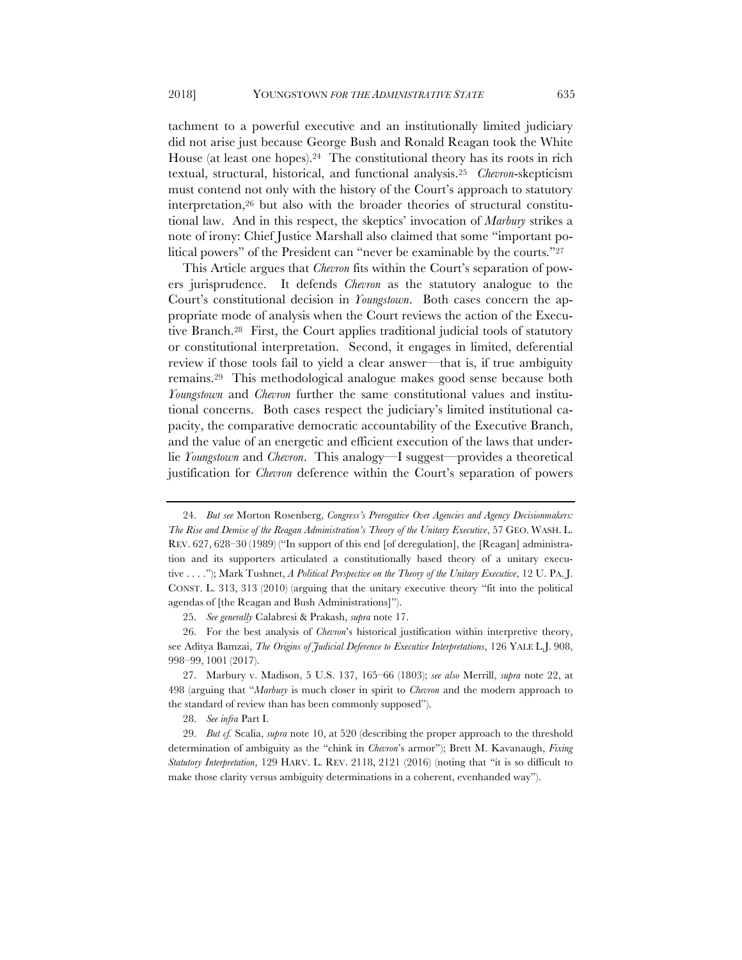tachment to a powerful executive and an institutionally limited judiciary did not arise just because George Bush and Ronald Reagan took the White House (at least one hopes).24 The constitutional theory has its roots in rich textual, structural, historical, and functional analysis.25 *Chevron*-skepticism must contend not only with the history of the Court's approach to statutory interpretation,26 but also with the broader theories of structural constitutional law. And in this respect, the skeptics' invocation of *Marbury* strikes a note of irony: Chief Justice Marshall also claimed that some "important political powers" of the President can "never be examinable by the courts."27

This Article argues that *Chevron* fits within the Court's separation of powers jurisprudence. It defends *Chevron* as the statutory analogue to the Court's constitutional decision in *Youngstown*. Both cases concern the appropriate mode of analysis when the Court reviews the action of the Executive Branch.28 First, the Court applies traditional judicial tools of statutory or constitutional interpretation. Second, it engages in limited, deferential review if those tools fail to yield a clear answer—that is, if true ambiguity remains.29 This methodological analogue makes good sense because both *Youngstown* and *Chevron* further the same constitutional values and institutional concerns. Both cases respect the judiciary's limited institutional capacity, the comparative democratic accountability of the Executive Branch, and the value of an energetic and efficient execution of the laws that underlie *Youngstown* and *Chevron*. This analogy—I suggest—provides a theoretical justification for *Chevron* deference within the Court's separation of powers

27. Marbury v. Madison, 5 U.S. 137, 165–66 (1803); *see also* Merrill, *supra* note 22, at 498 (arguing that "*Marbury* is much closer in spirit to *Chevron* and the modern approach to the standard of review than has been commonly supposed").

28. *See infra* Part I.

29. *But cf.* Scalia, *supra* note 10, at 520 (describing the proper approach to the threshold determination of ambiguity as the "chink in *Chevron*'s armor"); Brett M. Kavanaugh, *Fixing Statutory Interpretation*, 129 HARV. L. REV. 2118, 2121 (2016) (noting that "it is so difficult to make those clarity versus ambiguity determinations in a coherent, evenhanded way").

<sup>24.</sup> *But see* Morton Rosenberg, *Congress's Prerogative Over Agencies and Agency Decisionmakers: The Rise and Demise of the Reagan Administration's Theory of the Unitary Executive*, 57 GEO. WASH. L. REV. 627, 628–30 (1989) ("In support of this end [of deregulation], the [Reagan] administration and its supporters articulated a constitutionally based theory of a unitary executive . . . ."); Mark Tushnet, *A Political Perspective on the Theory of the Unitary Executive*, 12 U. PA. J. CONST. L. 313, 313 (2010) (arguing that the unitary executive theory "fit into the political agendas of [the Reagan and Bush Administrations]").

<sup>25.</sup> *See generally* Calabresi & Prakash, *supra* note 17.

<sup>26.</sup> For the best analysis of *Chevron*'s historical justification within interpretive theory, see Aditya Bamzai, *The Origins of Judicial Deference to Executive Interpretations*, 126 YALE L.J. 908, 998–99, 1001 (2017).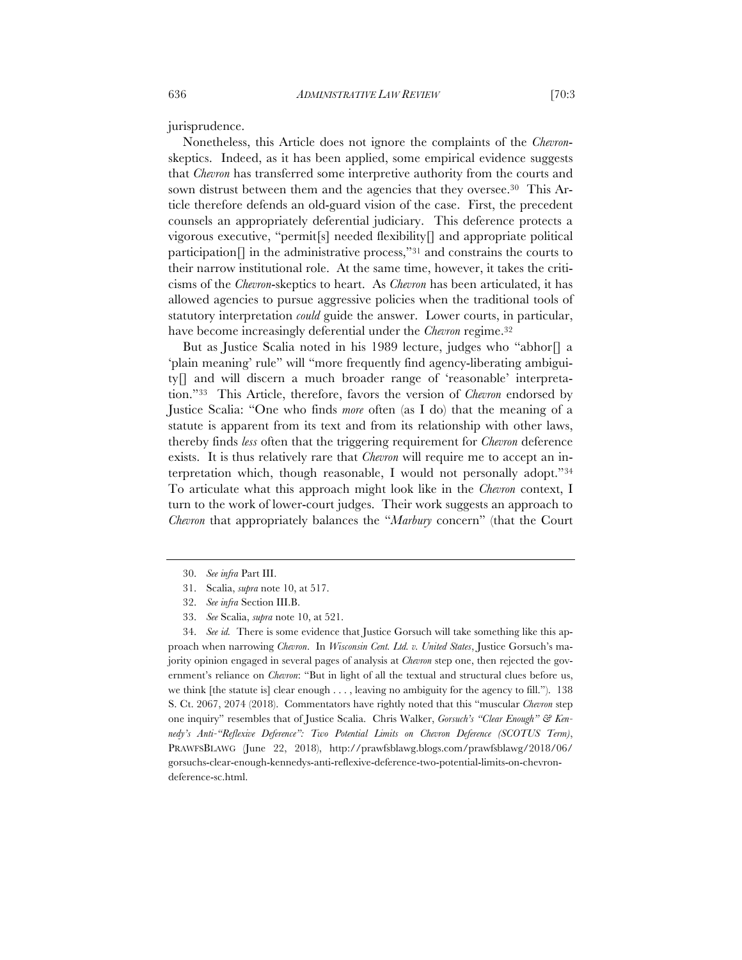jurisprudence.

Nonetheless, this Article does not ignore the complaints of the *Chevron*skeptics. Indeed, as it has been applied, some empirical evidence suggests that *Chevron* has transferred some interpretive authority from the courts and sown distrust between them and the agencies that they oversee.<sup>30</sup> This Article therefore defends an old-guard vision of the case. First, the precedent counsels an appropriately deferential judiciary. This deference protects a vigorous executive, "permit[s] needed flexibility[] and appropriate political participation $\left[\right]$  in the administrative process,"<sup>31</sup> and constrains the courts to their narrow institutional role. At the same time, however, it takes the criticisms of the *Chevron*-skeptics to heart. As *Chevron* has been articulated, it has allowed agencies to pursue aggressive policies when the traditional tools of statutory interpretation *could* guide the answer. Lower courts, in particular, have become increasingly deferential under the *Chevron* regime.32

But as Justice Scalia noted in his 1989 lecture, judges who "abhor[] a 'plain meaning' rule" will "more frequently find agency-liberating ambiguity[] and will discern a much broader range of 'reasonable' interpretation."33 This Article, therefore, favors the version of *Chevron* endorsed by Justice Scalia: "One who finds *more* often (as I do) that the meaning of a statute is apparent from its text and from its relationship with other laws, thereby finds *less* often that the triggering requirement for *Chevron* deference exists. It is thus relatively rare that *Chevron* will require me to accept an interpretation which, though reasonable, I would not personally adopt."34 To articulate what this approach might look like in the *Chevron* context, I turn to the work of lower-court judges. Their work suggests an approach to *Chevron* that appropriately balances the "*Marbury* concern" (that the Court

34. *See id.* There is some evidence that Justice Gorsuch will take something like this approach when narrowing *Chevron*. In *Wisconsin Cent. Ltd. v. United States*, Justice Gorsuch's majority opinion engaged in several pages of analysis at *Chevron* step one, then rejected the government's reliance on *Chevron*: "But in light of all the textual and structural clues before us, we think [the statute is] clear enough . . . , leaving no ambiguity for the agency to fill."). 138 S. Ct. 2067, 2074 (2018). Commentators have rightly noted that this "muscular *Chevron* step one inquiry" resembles that of Justice Scalia. Chris Walker, *Gorsuch's "Clear Enough" & Kennedy's Anti-"Reflexive Deference": Two Potential Limits on Chevron Deference (SCOTUS Term)*, PRAWFSBLAWG (June 22, 2018), http://prawfsblawg.blogs.com/prawfsblawg/2018/06/ gorsuchs-clear-enough-kennedys-anti-reflexive-deference-two-potential-limits-on-chevrondeference-sc.html.

<sup>30.</sup> *See infra* Part III.

<sup>31.</sup> Scalia, *supra* note 10, at 517.

<sup>32.</sup> *See infra* Section III.B.

<sup>33.</sup> *See* Scalia, *supra* note 10, at 521.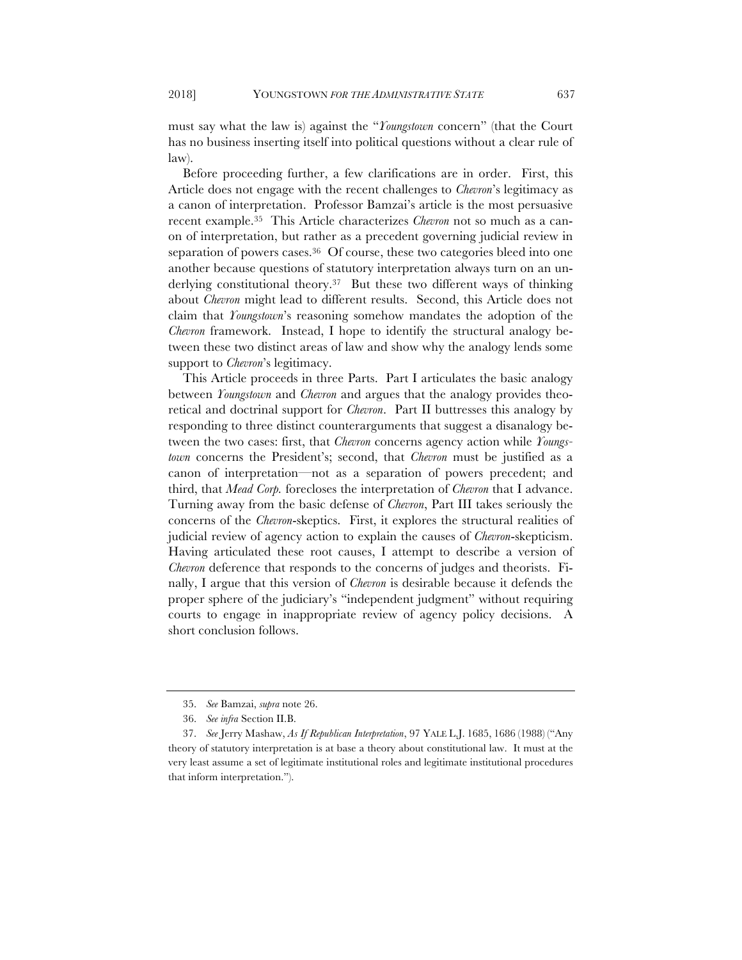must say what the law is) against the "*Youngstown* concern" (that the Court has no business inserting itself into political questions without a clear rule of law).

Before proceeding further, a few clarifications are in order. First, this Article does not engage with the recent challenges to *Chevron*'s legitimacy as a canon of interpretation. Professor Bamzai's article is the most persuasive recent example.35 This Article characterizes *Chevron* not so much as a canon of interpretation, but rather as a precedent governing judicial review in separation of powers cases.<sup>36</sup> Of course, these two categories bleed into one another because questions of statutory interpretation always turn on an underlying constitutional theory.37 But these two different ways of thinking about *Chevron* might lead to different results. Second, this Article does not claim that *Youngstown*'s reasoning somehow mandates the adoption of the *Chevron* framework. Instead, I hope to identify the structural analogy between these two distinct areas of law and show why the analogy lends some support to *Chevron*'s legitimacy.

This Article proceeds in three Parts. Part I articulates the basic analogy between *Youngstown* and *Chevron* and argues that the analogy provides theoretical and doctrinal support for *Chevron*. Part II buttresses this analogy by responding to three distinct counterarguments that suggest a disanalogy between the two cases: first, that *Chevron* concerns agency action while *Youngstown* concerns the President's; second, that *Chevron* must be justified as a canon of interpretation—not as a separation of powers precedent; and third, that *Mead Corp.* forecloses the interpretation of *Chevron* that I advance. Turning away from the basic defense of *Chevron*, Part III takes seriously the concerns of the *Chevron*-skeptics. First, it explores the structural realities of judicial review of agency action to explain the causes of *Chevron*-skepticism. Having articulated these root causes, I attempt to describe a version of *Chevron* deference that responds to the concerns of judges and theorists. Finally, I argue that this version of *Chevron* is desirable because it defends the proper sphere of the judiciary's "independent judgment" without requiring courts to engage in inappropriate review of agency policy decisions. A short conclusion follows.

<sup>35.</sup> *See* Bamzai, *supra* note 26.

<sup>36.</sup> *See infra* Section II.B.

<sup>37.</sup> *See* Jerry Mashaw, *As If Republican Interpretation*, 97 YALE L.J. 1685, 1686 (1988) ("Any theory of statutory interpretation is at base a theory about constitutional law. It must at the very least assume a set of legitimate institutional roles and legitimate institutional procedures that inform interpretation.").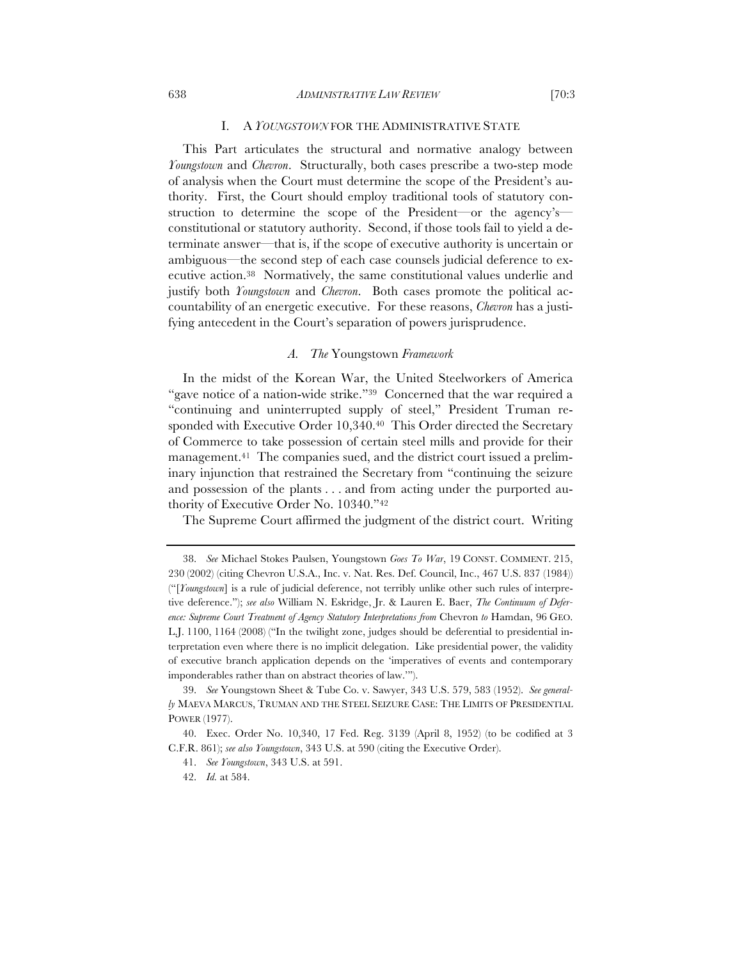# I. A *YOUNGSTOWN* FOR THE ADMINISTRATIVE STATE

This Part articulates the structural and normative analogy between *Youngstown* and *Chevron*. Structurally, both cases prescribe a two-step mode of analysis when the Court must determine the scope of the President's authority. First, the Court should employ traditional tools of statutory construction to determine the scope of the President—or the agency's constitutional or statutory authority. Second, if those tools fail to yield a determinate answer—that is, if the scope of executive authority is uncertain or ambiguous—the second step of each case counsels judicial deference to executive action.38 Normatively, the same constitutional values underlie and justify both *Youngstown* and *Chevron*. Both cases promote the political accountability of an energetic executive. For these reasons, *Chevron* has a justifying antecedent in the Court's separation of powers jurisprudence.

#### *A. The* Youngstown *Framework*

In the midst of the Korean War, the United Steelworkers of America "gave notice of a nation-wide strike."39 Concerned that the war required a "continuing and uninterrupted supply of steel," President Truman responded with Executive Order 10,340.40 This Order directed the Secretary of Commerce to take possession of certain steel mills and provide for their management.41 The companies sued, and the district court issued a preliminary injunction that restrained the Secretary from "continuing the seizure and possession of the plants . . . and from acting under the purported authority of Executive Order No. 10340."42

The Supreme Court affirmed the judgment of the district court. Writing

<sup>38.</sup> *See* Michael Stokes Paulsen, Youngstown *Goes To War*, 19 CONST. COMMENT. 215, 230 (2002) (citing Chevron U.S.A., Inc. v. Nat. Res. Def. Council, Inc., 467 U.S. 837 (1984)) ("[*Youngstown*] is a rule of judicial deference, not terribly unlike other such rules of interpretive deference."); *see also* William N. Eskridge, Jr. & Lauren E. Baer, *The Continuum of Deference: Supreme Court Treatment of Agency Statutory Interpretations from* Chevron *to* Hamdan, 96 GEO. L.J. 1100, 1164 (2008) ("In the twilight zone, judges should be deferential to presidential interpretation even where there is no implicit delegation. Like presidential power, the validity of executive branch application depends on the 'imperatives of events and contemporary imponderables rather than on abstract theories of law.'").

<sup>39.</sup> *See* Youngstown Sheet & Tube Co. v. Sawyer, 343 U.S. 579, 583 (1952). *See generally* MAEVA MARCUS, TRUMAN AND THE STEEL SEIZURE CASE: THE LIMITS OF PRESIDENTIAL POWER (1977).

<sup>40.</sup> Exec. Order No. 10,340, 17 Fed. Reg. 3139 (April 8, 1952) (to be codified at 3 C.F.R. 861); *see also Youngstown*, 343 U.S. at 590 (citing the Executive Order).

<sup>41.</sup> *See Youngstown*, 343 U.S. at 591.

<sup>42.</sup> *Id.* at 584.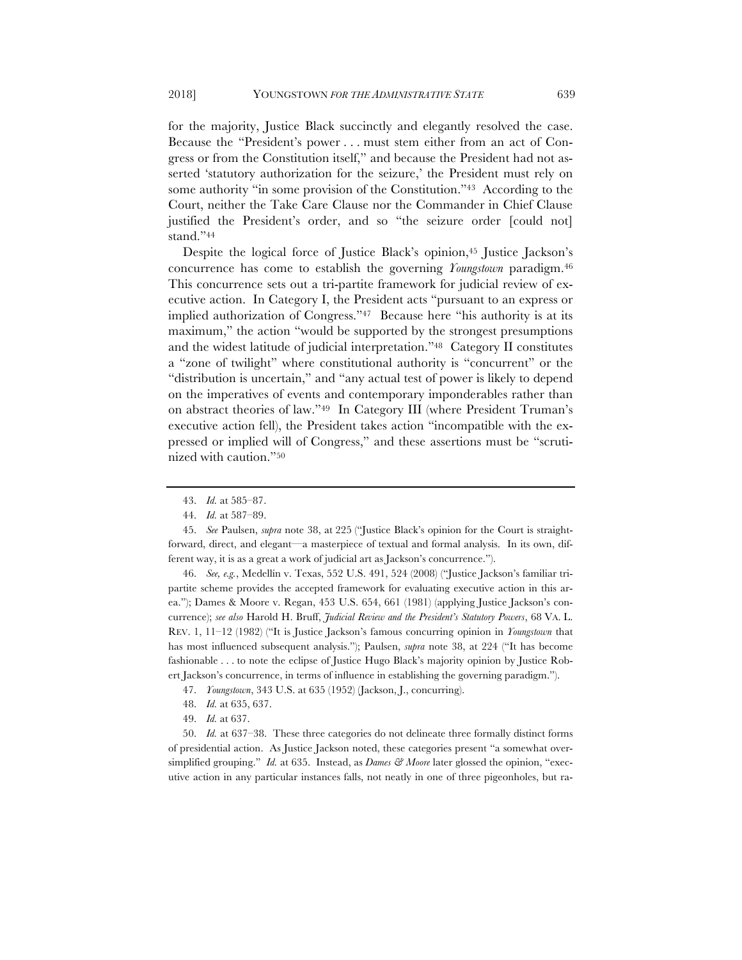for the majority, Justice Black succinctly and elegantly resolved the case. Because the "President's power . . . must stem either from an act of Congress or from the Constitution itself," and because the President had not asserted 'statutory authorization for the seizure,' the President must rely on some authority "in some provision of the Constitution."<sup>43</sup> According to the Court, neither the Take Care Clause nor the Commander in Chief Clause justified the President's order, and so "the seizure order [could not] stand."44

Despite the logical force of Justice Black's opinion,45 Justice Jackson's concurrence has come to establish the governing *Youngstown* paradigm.46 This concurrence sets out a tri-partite framework for judicial review of executive action. In Category I, the President acts "pursuant to an express or implied authorization of Congress."47 Because here "his authority is at its maximum," the action "would be supported by the strongest presumptions and the widest latitude of judicial interpretation."48 Category II constitutes a "zone of twilight" where constitutional authority is "concurrent" or the "distribution is uncertain," and "any actual test of power is likely to depend on the imperatives of events and contemporary imponderables rather than on abstract theories of law."49 In Category III (where President Truman's executive action fell), the President takes action "incompatible with the expressed or implied will of Congress," and these assertions must be "scrutinized with caution."50

46. *See, e.g.*, Medellín v. Texas, 552 U.S. 491, 524 (2008) ("Justice Jackson's familiar tripartite scheme provides the accepted framework for evaluating executive action in this area."); Dames & Moore v. Regan, 453 U.S. 654, 661 (1981) (applying Justice Jackson's concurrence); *see also* Harold H. Bruff, *Judicial Review and the President's Statutory Powers*, 68 VA. L. REV. 1, 11–12 (1982) ("It is Justice Jackson's famous concurring opinion in *Youngstown* that has most influenced subsequent analysis."); Paulsen, *supra* note 38, at 224 ("It has become fashionable . . . to note the eclipse of Justice Hugo Black's majority opinion by Justice Robert Jackson's concurrence, in terms of influence in establishing the governing paradigm.").

48. *Id.* at 635, 637.

50. *Id.* at 637–38. These three categories do not delineate three formally distinct forms of presidential action. As Justice Jackson noted, these categories present "a somewhat oversimplified grouping." *Id.* at 635. Instead, as *Dames & Moore* later glossed the opinion, "executive action in any particular instances falls, not neatly in one of three pigeonholes, but ra-

<sup>43.</sup> *Id.* at 585–87.

<sup>44.</sup> *Id.* at 587–89.

<sup>45.</sup> *See* Paulsen, *supra* note 38, at 225 ("Justice Black's opinion for the Court is straightforward, direct, and elegant—a masterpiece of textual and formal analysis. In its own, different way, it is as a great a work of judicial art as Jackson's concurrence.").

<sup>47.</sup> *Youngstown*, 343 U.S. at 635 (1952) (Jackson, J., concurring).

<sup>49.</sup> *Id.* at 637.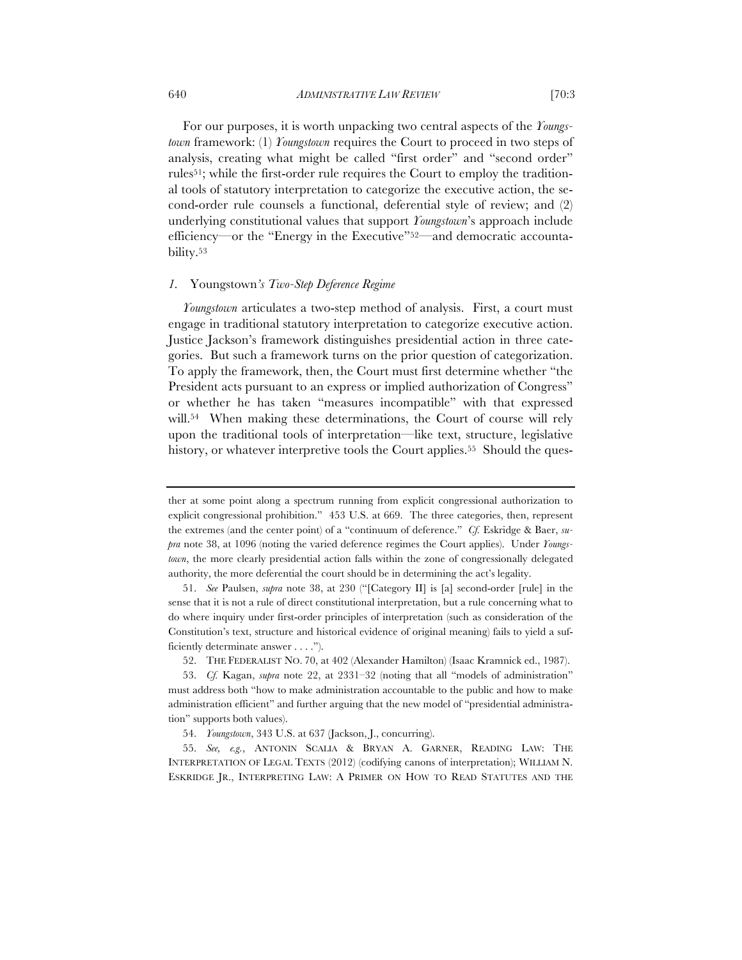For our purposes, it is worth unpacking two central aspects of the *Youngstown* framework: (1) *Youngstown* requires the Court to proceed in two steps of analysis, creating what might be called "first order" and "second order" rules51; while the first-order rule requires the Court to employ the traditional tools of statutory interpretation to categorize the executive action, the second-order rule counsels a functional, deferential style of review; and (2) underlying constitutional values that support *Youngstown*'s approach include efficiency—or the "Energy in the Executive"<sup>52</sup>—and democratic accountability.53

# *1.* Youngstown*'s Two-Step Deference Regime*

*Youngstown* articulates a two-step method of analysis. First, a court must engage in traditional statutory interpretation to categorize executive action. Justice Jackson's framework distinguishes presidential action in three categories. But such a framework turns on the prior question of categorization. To apply the framework, then, the Court must first determine whether "the President acts pursuant to an express or implied authorization of Congress" or whether he has taken "measures incompatible" with that expressed will.<sup>54</sup> When making these determinations, the Court of course will rely upon the traditional tools of interpretation—like text, structure, legislative history, or whatever interpretive tools the Court applies.<sup>55</sup> Should the ques-

ther at some point along a spectrum running from explicit congressional authorization to explicit congressional prohibition." 453 U.S. at 669. The three categories, then, represent the extremes (and the center point) of a "continuum of deference." *Cf.* Eskridge & Baer, *supra* note 38, at 1096 (noting the varied deference regimes the Court applies). Under *Youngstown*, the more clearly presidential action falls within the zone of congressionally delegated authority, the more deferential the court should be in determining the act's legality.

<sup>51.</sup> *See* Paulsen, *supra* note 38, at 230 ("[Category II] is [a] second-order [rule] in the sense that it is not a rule of direct constitutional interpretation, but a rule concerning what to do where inquiry under first-order principles of interpretation (such as consideration of the Constitution's text, structure and historical evidence of original meaning) fails to yield a sufficiently determinate answer . . . .").

<sup>52.</sup> THE FEDERALIST NO. 70, at 402 (Alexander Hamilton) (Isaac Kramnick ed., 1987).

<sup>53.</sup> *Cf.* Kagan, *supra* note 22, at 2331–32 (noting that all "models of administration" must address both "how to make administration accountable to the public and how to make administration efficient" and further arguing that the new model of "presidential administration" supports both values).

<sup>54.</sup> *Youngstown*, 343 U.S. at 637 (Jackson, J., concurring).

<sup>55.</sup> *See, e.g.*, ANTONIN SCALIA & BRYAN A. GARNER, READING LAW: THE INTERPRETATION OF LEGAL TEXTS (2012) (codifying canons of interpretation); WILLIAM N. ESKRIDGE JR., INTERPRETING LAW: A PRIMER ON HOW TO READ STATUTES AND THE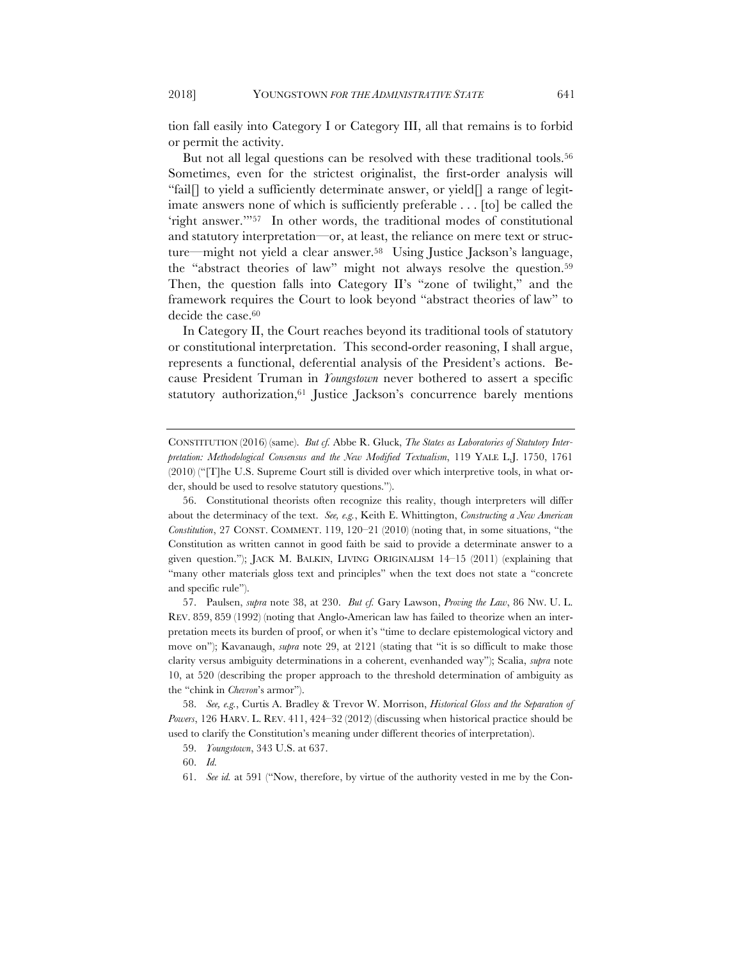tion fall easily into Category I or Category III, all that remains is to forbid or permit the activity.

But not all legal questions can be resolved with these traditional tools.<sup>56</sup> Sometimes, even for the strictest originalist, the first-order analysis will "fail[] to yield a sufficiently determinate answer, or yield<sup>[]</sup> a range of legitimate answers none of which is sufficiently preferable . . . [to] be called the 'right answer.'"57 In other words, the traditional modes of constitutional and statutory interpretation—or, at least, the reliance on mere text or structure—might not yield a clear answer.58 Using Justice Jackson's language, the "abstract theories of law" might not always resolve the question.59 Then, the question falls into Category II's "zone of twilight," and the framework requires the Court to look beyond "abstract theories of law" to decide the case.<sup>60</sup>

In Category II, the Court reaches beyond its traditional tools of statutory or constitutional interpretation. This second-order reasoning, I shall argue, represents a functional, deferential analysis of the President's actions. Because President Truman in *Youngstown* never bothered to assert a specific statutory authorization,<sup>61</sup> Justice Jackson's concurrence barely mentions

CONSTITUTION (2016) (same). *But cf.* Abbe R. Gluck, *The States as Laboratories of Statutory Interpretation: Methodological Consensus and the New Modified Textualism*, 119 YALE L.J. 1750, 1761 (2010) ("[T]he U.S. Supreme Court still is divided over which interpretive tools, in what order, should be used to resolve statutory questions.").

<sup>56.</sup> Constitutional theorists often recognize this reality, though interpreters will differ about the determinacy of the text. *See, e.g.*, Keith E. Whittington, *Constructing a New American Constitution*, 27 CONST. COMMENT. 119, 120–21 (2010) (noting that, in some situations, "the Constitution as written cannot in good faith be said to provide a determinate answer to a given question."); JACK M. BALKIN, LIVING ORIGINALISM 14–15 (2011) (explaining that "many other materials gloss text and principles" when the text does not state a "concrete and specific rule").

<sup>57.</sup> Paulsen, *supra* note 38, at 230. *But cf.* Gary Lawson, *Proving the Law*, 86 NW. U. L. REV. 859, 859 (1992) (noting that Anglo-American law has failed to theorize when an interpretation meets its burden of proof, or when it's "time to declare epistemological victory and move on"); Kavanaugh, *supra* note 29, at 2121 (stating that "it is so difficult to make those clarity versus ambiguity determinations in a coherent, evenhanded way"); Scalia, *supra* note 10, at 520 (describing the proper approach to the threshold determination of ambiguity as the "chink in *Chevron*'s armor").

<sup>58.</sup> *See, e.g.*, Curtis A. Bradley & Trevor W. Morrison, *Historical Gloss and the Separation of Powers*, 126 HARV. L. REV. 411, 424–32 (2012) (discussing when historical practice should be used to clarify the Constitution's meaning under different theories of interpretation).

<sup>59.</sup> *Youngstown*, 343 U.S. at 637.

<sup>60.</sup> *Id.*

<sup>61.</sup> *See id.* at 591 ("Now, therefore, by virtue of the authority vested in me by the Con-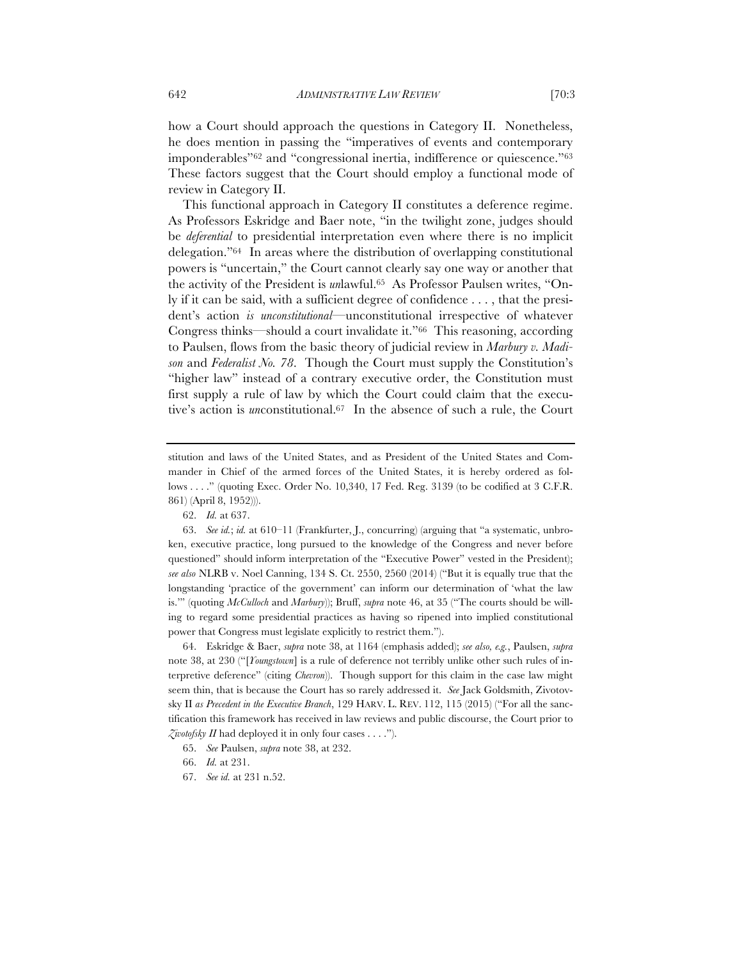how a Court should approach the questions in Category II. Nonetheless, he does mention in passing the "imperatives of events and contemporary imponderables"62 and "congressional inertia, indifference or quiescence."63 These factors suggest that the Court should employ a functional mode of review in Category II.

This functional approach in Category II constitutes a deference regime. As Professors Eskridge and Baer note, "in the twilight zone, judges should be *deferential* to presidential interpretation even where there is no implicit delegation."64 In areas where the distribution of overlapping constitutional powers is "uncertain," the Court cannot clearly say one way or another that the activity of the President is *un*lawful.65 As Professor Paulsen writes, "Only if it can be said, with a sufficient degree of confidence . . . , that the president's action *is unconstitutional*—unconstitutional irrespective of whatever Congress thinks—should a court invalidate it."66 This reasoning, according to Paulsen, flows from the basic theory of judicial review in *Marbury v. Madison* and *Federalist No. 78*. Though the Court must supply the Constitution's "higher law" instead of a contrary executive order, the Constitution must first supply a rule of law by which the Court could claim that the executive's action is *un*constitutional.67 In the absence of such a rule, the Court

64. Eskridge & Baer, *supra* note 38, at 1164 (emphasis added); *see also, e.g.*, Paulsen, *supra*  note 38, at 230 ("[*Youngstown*] is a rule of deference not terribly unlike other such rules of interpretive deference" (citing *Chevron*)). Though support for this claim in the case law might seem thin, that is because the Court has so rarely addressed it. *See* Jack Goldsmith, Zivotovsky II *as Precedent in the Executive Branch*, 129 HARV. L. REV. 112, 115 (2015) ("For all the sanctification this framework has received in law reviews and public discourse, the Court prior to *Zivotofsky II* had deployed it in only four cases . . . .").

67. *See id.* at 231 n.52.

stitution and laws of the United States, and as President of the United States and Commander in Chief of the armed forces of the United States, it is hereby ordered as follows . . . ." (quoting Exec. Order No. 10,340, 17 Fed. Reg. 3139 (to be codified at 3 C.F.R. 861) (April 8, 1952))).

<sup>62.</sup> *Id.* at 637.

<sup>63.</sup> *See id.*; *id.* at 610–11 (Frankfurter, J., concurring) (arguing that "a systematic, unbroken, executive practice, long pursued to the knowledge of the Congress and never before questioned" should inform interpretation of the "Executive Power" vested in the President); *see also* NLRB v. Noel Canning, 134 S. Ct. 2550, 2560 (2014) ("But it is equally true that the longstanding 'practice of the government' can inform our determination of 'what the law is.'" (quoting *McCulloch* and *Marbury*)); Bruff, *supra* note 46, at 35 ("The courts should be willing to regard some presidential practices as having so ripened into implied constitutional power that Congress must legislate explicitly to restrict them.").

<sup>65.</sup> *See* Paulsen, *supra* note 38, at 232.

<sup>66.</sup> *Id.* at 231.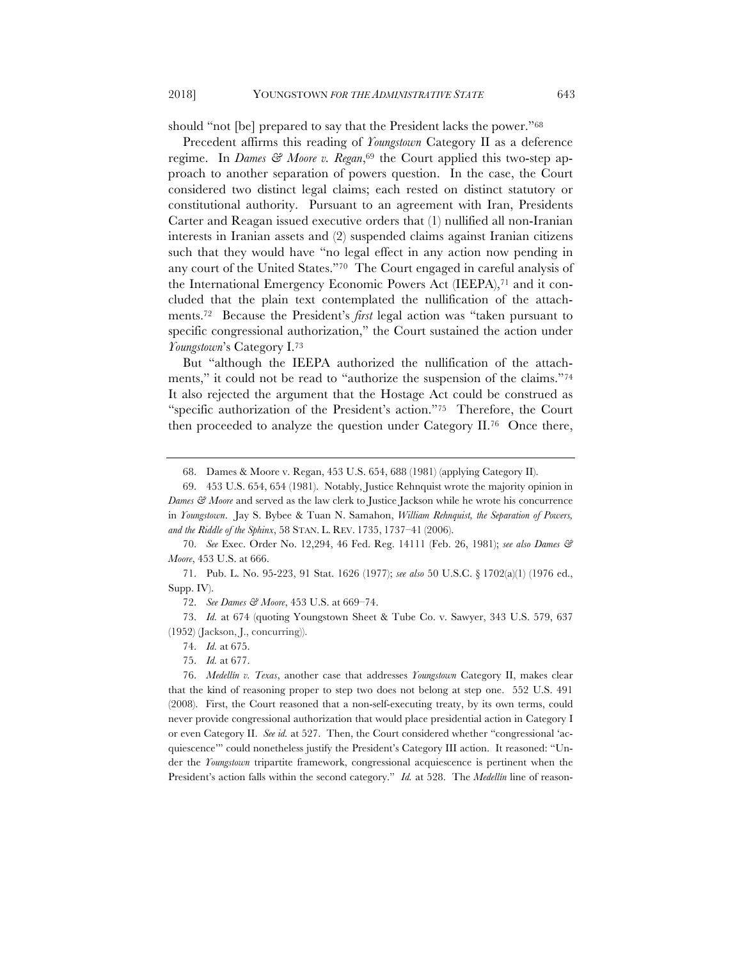should "not [be] prepared to say that the President lacks the power."68

Precedent affirms this reading of *Youngstown* Category II as a deference regime. In *Dames & Moore v. Regan*,<sup>69</sup> the Court applied this two-step approach to another separation of powers question. In the case, the Court considered two distinct legal claims; each rested on distinct statutory or constitutional authority. Pursuant to an agreement with Iran, Presidents Carter and Reagan issued executive orders that (1) nullified all non-Iranian interests in Iranian assets and (2) suspended claims against Iranian citizens such that they would have "no legal effect in any action now pending in any court of the United States."70 The Court engaged in careful analysis of the International Emergency Economic Powers Act (IEEPA),71 and it concluded that the plain text contemplated the nullification of the attachments.72 Because the President's *first* legal action was "taken pursuant to specific congressional authorization," the Court sustained the action under *Youngstown*'s Category I.73

But "although the IEEPA authorized the nullification of the attachments," it could not be read to "authorize the suspension of the claims."74 It also rejected the argument that the Hostage Act could be construed as "specific authorization of the President's action."75 Therefore, the Court then proceeded to analyze the question under Category II.76 Once there,

75. *Id.* at 677.

<sup>68.</sup> Dames & Moore v. Regan, 453 U.S. 654, 688 (1981) (applying Category II).

<sup>69.</sup> 453 U.S. 654, 654 (1981). Notably, Justice Rehnquist wrote the majority opinion in *Dames & Moore* and served as the law clerk to Justice Jackson while he wrote his concurrence in *Youngstown*. Jay S. Bybee & Tuan N. Samahon, *William Rehnquist, the Separation of Powers, and the Riddle of the Sphinx*, 58 STAN. L. REV. 1735, 1737–41 (2006).

<sup>70.</sup> *See* Exec. Order No. 12,294, 46 Fed. Reg. 14111 (Feb. 26, 1981); *see also Dames & Moore*, 453 U.S. at 666.

<sup>71.</sup> Pub. L. No. 95-223, 91 Stat. 1626 (1977); *see also* 50 U.S.C. § 1702(a)(1) (1976 ed., Supp. IV).

<sup>72.</sup> *See Dames & Moore*, 453 U.S. at 669–74.

<sup>73.</sup> *Id.* at 674 (quoting Youngstown Sheet & Tube Co. v. Sawyer, 343 U.S. 579, 637 (1952) (Jackson, J., concurring)).

<sup>74.</sup> *Id.* at 675.

<sup>76.</sup> *Medellín v. Texas*, another case that addresses *Youngstown* Category II, makes clear that the kind of reasoning proper to step two does not belong at step one. 552 U.S. 491 (2008). First, the Court reasoned that a non-self-executing treaty, by its own terms, could never provide congressional authorization that would place presidential action in Category I or even Category II. *See id.* at 527. Then, the Court considered whether "congressional 'acquiescence'" could nonetheless justify the President's Category III action. It reasoned: "Under the *Youngstown* tripartite framework, congressional acquiescence is pertinent when the President's action falls within the second category." *Id.* at 528. The *Medellín* line of reason-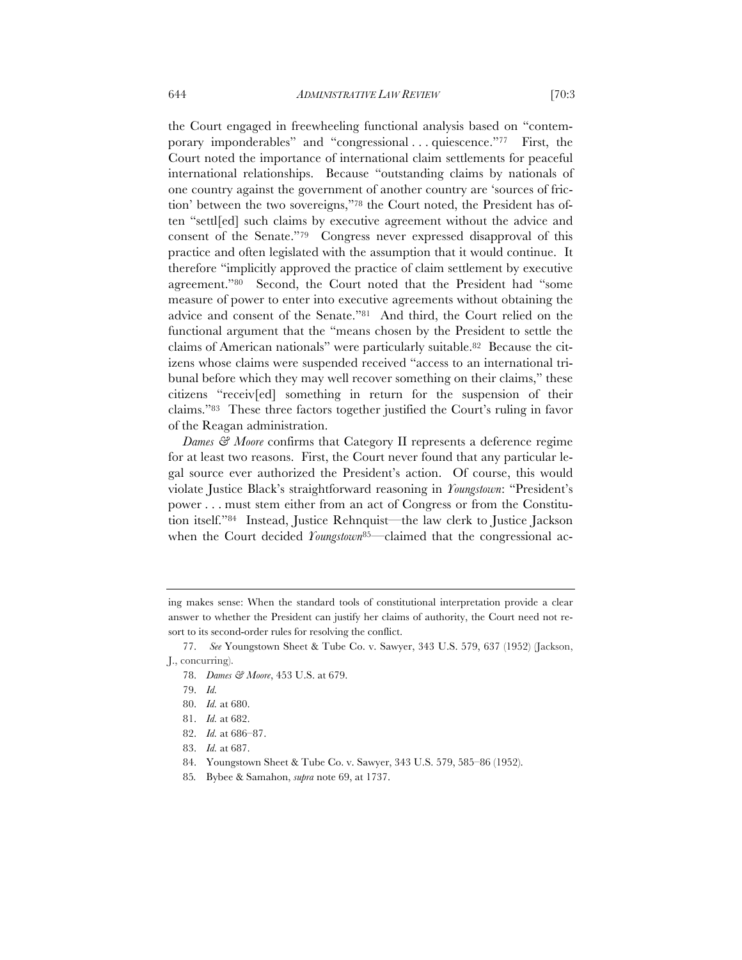the Court engaged in freewheeling functional analysis based on "contemporary imponderables" and "congressional . . . quiescence."77 First, the Court noted the importance of international claim settlements for peaceful international relationships. Because "outstanding claims by nationals of one country against the government of another country are 'sources of friction' between the two sovereigns,"78 the Court noted, the President has often "settl[ed] such claims by executive agreement without the advice and consent of the Senate."79 Congress never expressed disapproval of this practice and often legislated with the assumption that it would continue. It therefore "implicitly approved the practice of claim settlement by executive agreement."80 Second, the Court noted that the President had "some measure of power to enter into executive agreements without obtaining the advice and consent of the Senate."81 And third, the Court relied on the functional argument that the "means chosen by the President to settle the claims of American nationals" were particularly suitable.82 Because the citizens whose claims were suspended received "access to an international tribunal before which they may well recover something on their claims," these citizens "receiv[ed] something in return for the suspension of their claims."83 These three factors together justified the Court's ruling in favor of the Reagan administration.

*Dames & Moore* confirms that Category II represents a deference regime for at least two reasons. First, the Court never found that any particular legal source ever authorized the President's action. Of course, this would violate Justice Black's straightforward reasoning in *Youngstown*: "President's power . . . must stem either from an act of Congress or from the Constitution itself."84 Instead, Justice Rehnquist—the law clerk to Justice Jackson when the Court decided *Youngstown*<sup>85</sup>—claimed that the congressional ac-

85*.* Bybee & Samahon, *supra* note 69, at 1737.

ing makes sense: When the standard tools of constitutional interpretation provide a clear answer to whether the President can justify her claims of authority, the Court need not resort to its second-order rules for resolving the conflict.

<sup>77.</sup> *See* Youngstown Sheet & Tube Co. v. Sawyer, 343 U.S. 579, 637 (1952) (Jackson, J., concurring).

<sup>78.</sup> *Dames & Moore*, 453 U.S. at 679.

<sup>79.</sup> *Id.* 

<sup>80.</sup> *Id.* at 680.

<sup>81.</sup> *Id.* at 682.

<sup>82.</sup> *Id.* at 686–87.

<sup>83.</sup> *Id.* at 687.

<sup>84.</sup> Youngstown Sheet & Tube Co. v. Sawyer, 343 U.S. 579, 585–86 (1952).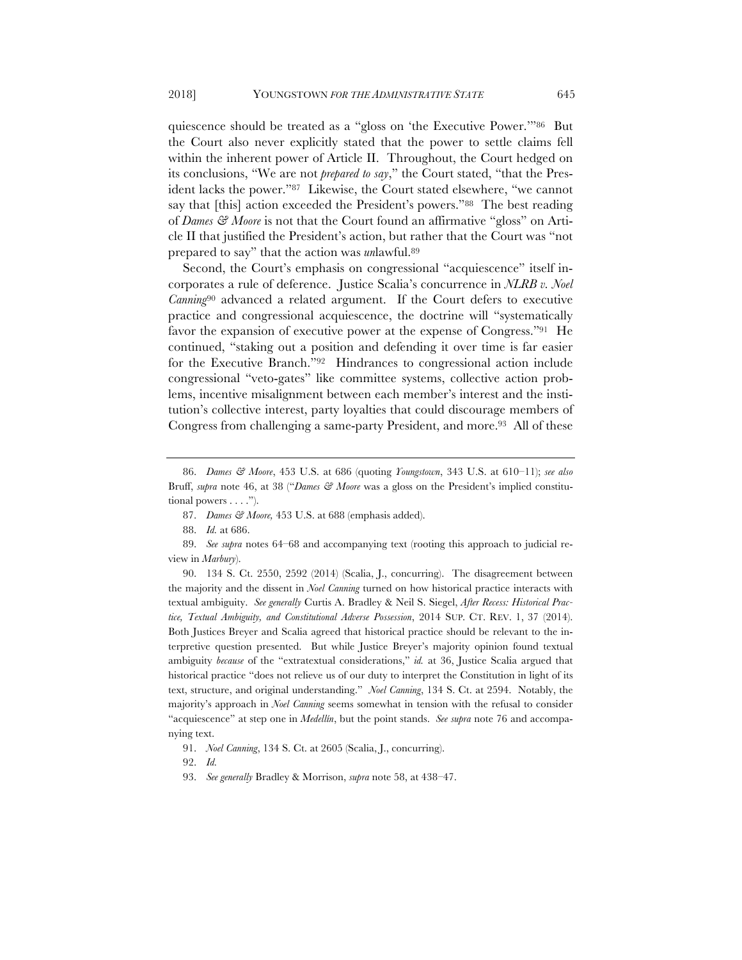quiescence should be treated as a "gloss on 'the Executive Power.'"86 But the Court also never explicitly stated that the power to settle claims fell within the inherent power of Article II. Throughout, the Court hedged on its conclusions, "We are not *prepared to say*," the Court stated, "that the President lacks the power."87 Likewise, the Court stated elsewhere, "we cannot say that [this] action exceeded the President's powers."88 The best reading of *Dames & Moore* is not that the Court found an affirmative "gloss" on Article II that justified the President's action, but rather that the Court was "not prepared to say" that the action was *un*lawful.89

Second, the Court's emphasis on congressional "acquiescence" itself incorporates a rule of deference. Justice Scalia's concurrence in *NLRB v. Noel Canning*<sup>90</sup> advanced a related argument. If the Court defers to executive practice and congressional acquiescence, the doctrine will "systematically favor the expansion of executive power at the expense of Congress."91 He continued, "staking out a position and defending it over time is far easier for the Executive Branch."92 Hindrances to congressional action include congressional "veto-gates" like committee systems, collective action problems, incentive misalignment between each member's interest and the institution's collective interest, party loyalties that could discourage members of Congress from challenging a same-party President, and more.<sup>93</sup> All of these

93. *See generally* Bradley & Morrison, *supra* note 58, at 438–47.

<sup>86.</sup> *Dames & Moore*, 453 U.S. at 686 (quoting *Youngstown*, 343 U.S. at 610–11); *see also*  Bruff, *supra* note 46, at 38 ("*Dames & Moore* was a gloss on the President's implied constitutional powers . . . .").

<sup>87.</sup> *Dames & Moore,* 453 U.S. at 688 (emphasis added).

<sup>88.</sup> *Id.* at 686.

<sup>89.</sup> *See supra* notes 64–68 and accompanying text (rooting this approach to judicial review in *Marbury*).

<sup>90.</sup> 134 S. Ct. 2550, 2592 (2014) (Scalia, J., concurring). The disagreement between the majority and the dissent in *Noel Canning* turned on how historical practice interacts with textual ambiguity. *See generally* Curtis A. Bradley & Neil S. Siegel, *After Recess: Historical Practice, Textual Ambiguity, and Constitutional Adverse Possession*, 2014 SUP. CT. REV. 1, 37 (2014). Both Justices Breyer and Scalia agreed that historical practice should be relevant to the interpretive question presented. But while Justice Breyer's majority opinion found textual ambiguity *because* of the "extratextual considerations," *id.* at 36, Justice Scalia argued that historical practice "does not relieve us of our duty to interpret the Constitution in light of its text, structure, and original understanding." *Noel Canning*, 134 S. Ct. at 2594. Notably, the majority's approach in *Noel Canning* seems somewhat in tension with the refusal to consider "acquiescence" at step one in *Medellín*, but the point stands. *See supra* note 76 and accompanying text.

<sup>91.</sup> *Noel Canning*, 134 S. Ct. at 2605 (Scalia, J., concurring).

<sup>92.</sup> *Id.*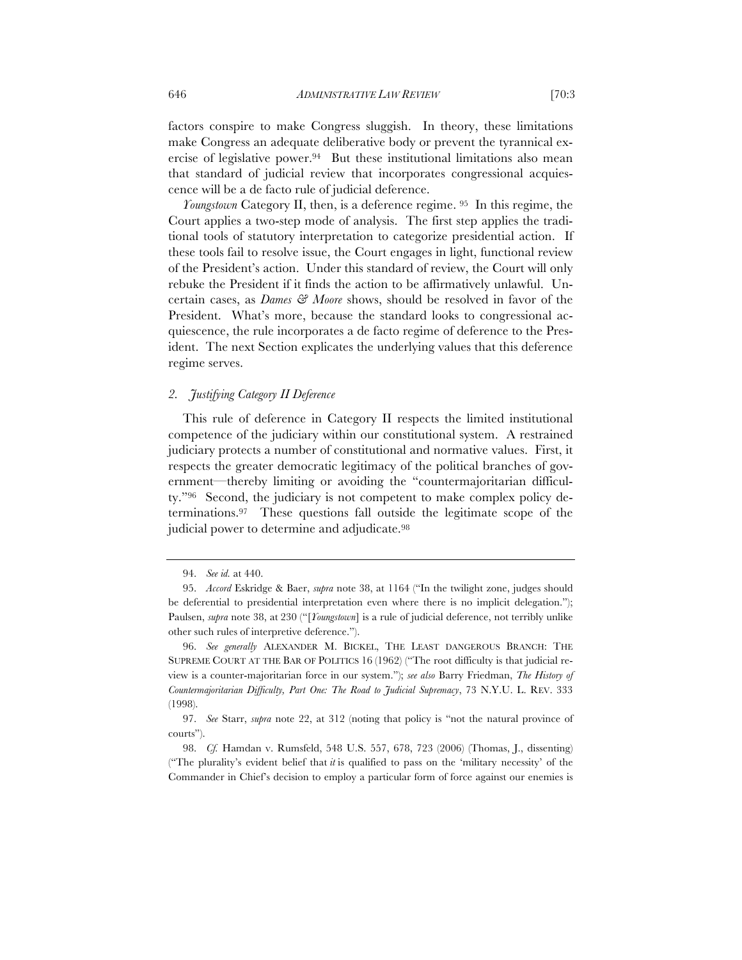factors conspire to make Congress sluggish. In theory, these limitations make Congress an adequate deliberative body or prevent the tyrannical exercise of legislative power.94 But these institutional limitations also mean that standard of judicial review that incorporates congressional acquiescence will be a de facto rule of judicial deference.

*Youngstown* Category II, then, is a deference regime. 95 In this regime, the Court applies a two-step mode of analysis. The first step applies the traditional tools of statutory interpretation to categorize presidential action. If these tools fail to resolve issue, the Court engages in light, functional review of the President's action. Under this standard of review, the Court will only rebuke the President if it finds the action to be affirmatively unlawful. Uncertain cases, as *Dames & Moore* shows, should be resolved in favor of the President. What's more, because the standard looks to congressional acquiescence, the rule incorporates a de facto regime of deference to the President. The next Section explicates the underlying values that this deference regime serves.

# *2. Justifying Category II Deference*

This rule of deference in Category II respects the limited institutional competence of the judiciary within our constitutional system. A restrained judiciary protects a number of constitutional and normative values. First, it respects the greater democratic legitimacy of the political branches of government—thereby limiting or avoiding the "countermajoritarian difficulty."96 Second, the judiciary is not competent to make complex policy determinations.97 These questions fall outside the legitimate scope of the judicial power to determine and adjudicate.<sup>98</sup>

96. *See generally* ALEXANDER M. BICKEL, THE LEAST DANGEROUS BRANCH: THE SUPREME COURT AT THE BAR OF POLITICS 16 (1962) ("The root difficulty is that judicial review is a counter-majoritarian force in our system."); *see also* Barry Friedman, *The History of Countermajoritarian Difficulty, Part One: The Road to Judicial Supremacy*, 73 N.Y.U. L. REV. 333 (1998).

<sup>94.</sup> *See id.* at 440.

<sup>95.</sup> *Accord* Eskridge & Baer, *supra* note 38, at 1164 ("In the twilight zone, judges should be deferential to presidential interpretation even where there is no implicit delegation."); Paulsen, *supra* note 38, at 230 ("[*Youngstown*] is a rule of judicial deference, not terribly unlike other such rules of interpretive deference.").

<sup>97.</sup> *See* Starr, *supra* note 22, at 312 (noting that policy is "not the natural province of courts").

<sup>98.</sup> *Cf.* Hamdan v. Rumsfeld, 548 U.S. 557, 678, 723 (2006) (Thomas, J., dissenting) ("The plurality's evident belief that *it* is qualified to pass on the 'military necessity' of the Commander in Chief's decision to employ a particular form of force against our enemies is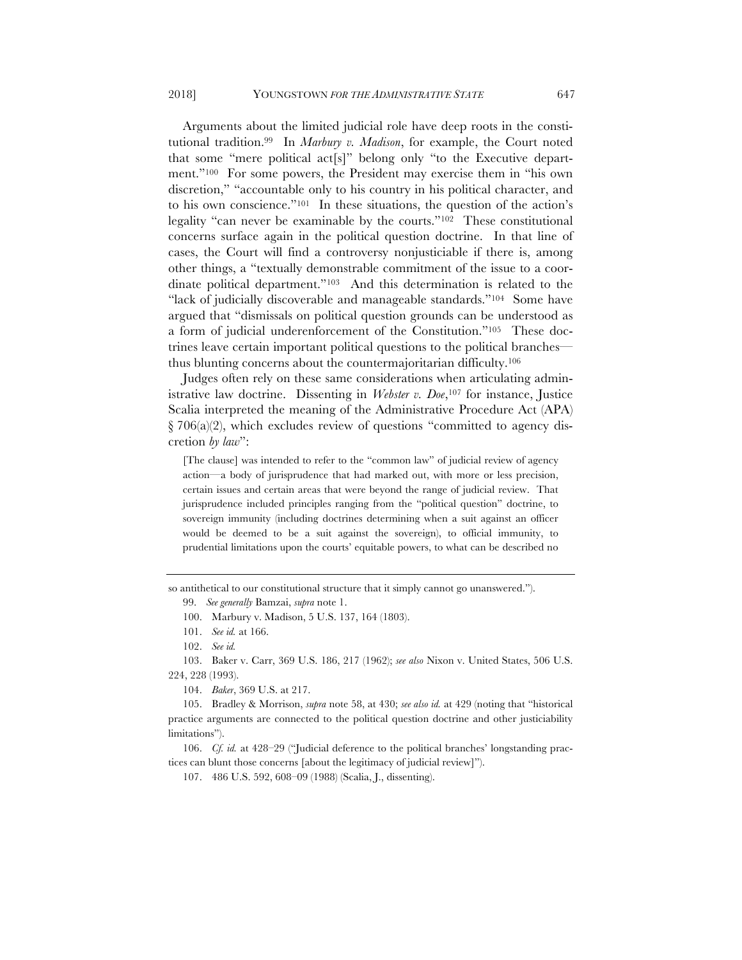Arguments about the limited judicial role have deep roots in the constitutional tradition.99 In *Marbury v. Madison*, for example, the Court noted that some "mere political act[s]" belong only "to the Executive department."100 For some powers, the President may exercise them in "his own discretion," "accountable only to his country in his political character, and to his own conscience."101 In these situations, the question of the action's legality "can never be examinable by the courts."102 These constitutional concerns surface again in the political question doctrine. In that line of cases, the Court will find a controversy nonjusticiable if there is, among other things, a "textually demonstrable commitment of the issue to a coordinate political department."103 And this determination is related to the "lack of judicially discoverable and manageable standards."<sup>104</sup> Some have argued that "dismissals on political question grounds can be understood as a form of judicial underenforcement of the Constitution."105 These doctrines leave certain important political questions to the political branches thus blunting concerns about the countermajoritarian difficulty.106

Judges often rely on these same considerations when articulating administrative law doctrine. Dissenting in *Webster v. Doe*,107 for instance, Justice Scalia interpreted the meaning of the Administrative Procedure Act (APA)  $\S 706(a)(2)$ , which excludes review of questions "committed to agency discretion *by law*":

[The clause] was intended to refer to the "common law" of judicial review of agency action—a body of jurisprudence that had marked out, with more or less precision, certain issues and certain areas that were beyond the range of judicial review. That jurisprudence included principles ranging from the "political question" doctrine, to sovereign immunity (including doctrines determining when a suit against an officer would be deemed to be a suit against the sovereign), to official immunity, to prudential limitations upon the courts' equitable powers, to what can be described no

so antithetical to our constitutional structure that it simply cannot go unanswered.").

103. Baker v. Carr, 369 U.S. 186, 217 (1962); *see also* Nixon v. United States, 506 U.S. 224, 228 (1993).

104. *Baker*, 369 U.S. at 217.

105. Bradley & Morrison, *supra* note 58, at 430; *see also id.* at 429 (noting that "historical practice arguments are connected to the political question doctrine and other justiciability limitations").

106. *Cf. id.* at 428–29 ("Judicial deference to the political branches' longstanding practices can blunt those concerns [about the legitimacy of judicial review]").

107. 486 U.S. 592, 608–09 (1988) (Scalia, J., dissenting).

<sup>99.</sup> *See generally* Bamzai, *supra* note 1.

<sup>100.</sup> Marbury v. Madison, 5 U.S. 137, 164 (1803).

<sup>101.</sup> *See id.* at 166.

<sup>102.</sup> *See id.*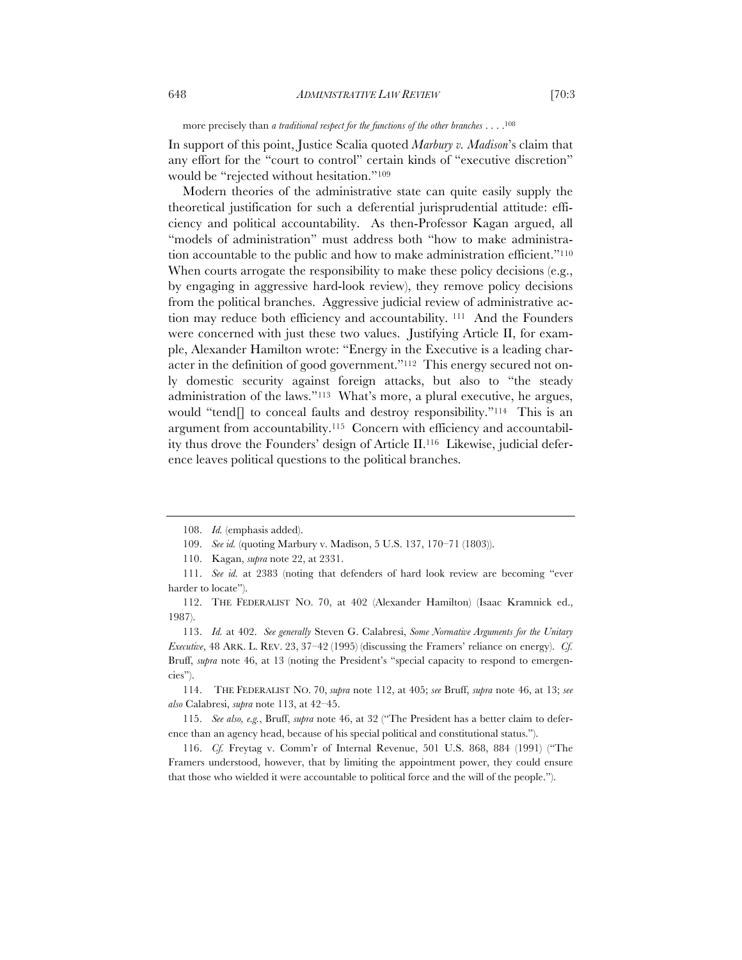more precisely than *a traditional respect for the functions of the other branches* . . . .108

In support of this point, Justice Scalia quoted *Marbury v. Madison*'s claim that any effort for the "court to control" certain kinds of "executive discretion" would be "rejected without hesitation."109

Modern theories of the administrative state can quite easily supply the theoretical justification for such a deferential jurisprudential attitude: efficiency and political accountability. As then-Professor Kagan argued, all "models of administration" must address both "how to make administration accountable to the public and how to make administration efficient."110 When courts arrogate the responsibility to make these policy decisions (e.g., by engaging in aggressive hard-look review), they remove policy decisions from the political branches. Aggressive judicial review of administrative action may reduce both efficiency and accountability. 111 And the Founders were concerned with just these two values. Justifying Article II, for example, Alexander Hamilton wrote: "Energy in the Executive is a leading character in the definition of good government."112 This energy secured not only domestic security against foreign attacks, but also to "the steady administration of the laws."113 What's more, a plural executive, he argues, would "tend[] to conceal faults and destroy responsibility."114 This is an argument from accountability.115 Concern with efficiency and accountability thus drove the Founders' design of Article II.116 Likewise, judicial deference leaves political questions to the political branches.

109. *See id.* (quoting Marbury v. Madison, 5 U.S. 137, 170–71 (1803)).

110. Kagan, *supra* note 22, at 2331.

111. *See id.* at 2383 (noting that defenders of hard look review are becoming "ever harder to locate").

112. THE FEDERALIST NO. 70, at 402 (Alexander Hamilton) (Isaac Kramnick ed., 1987).

113. *Id.* at 402. *See generally* Steven G. Calabresi, *Some Normative Arguments for the Unitary Executive*, 48 ARK. L. REV. 23, 37–42 (1995) (discussing the Framers' reliance on energy). *Cf.*  Bruff, *supra* note 46, at 13 (noting the President's "special capacity to respond to emergencies").

114. THE FEDERALIST NO. 70, *supra* note 112, at 405; *see* Bruff, *supra* note 46, at 13; *see also* Calabresi, *supra* note 113, at 42–45.

115. *See also, e.g.*, Bruff, *supra* note 46, at 32 ("The President has a better claim to deference than an agency head, because of his special political and constitutional status.").

116. *Cf.* Freytag v. Comm'r of Internal Revenue, 501 U.S. 868, 884 (1991) ("The Framers understood, however, that by limiting the appointment power, they could ensure that those who wielded it were accountable to political force and the will of the people.").

<sup>108.</sup> *Id.* (emphasis added).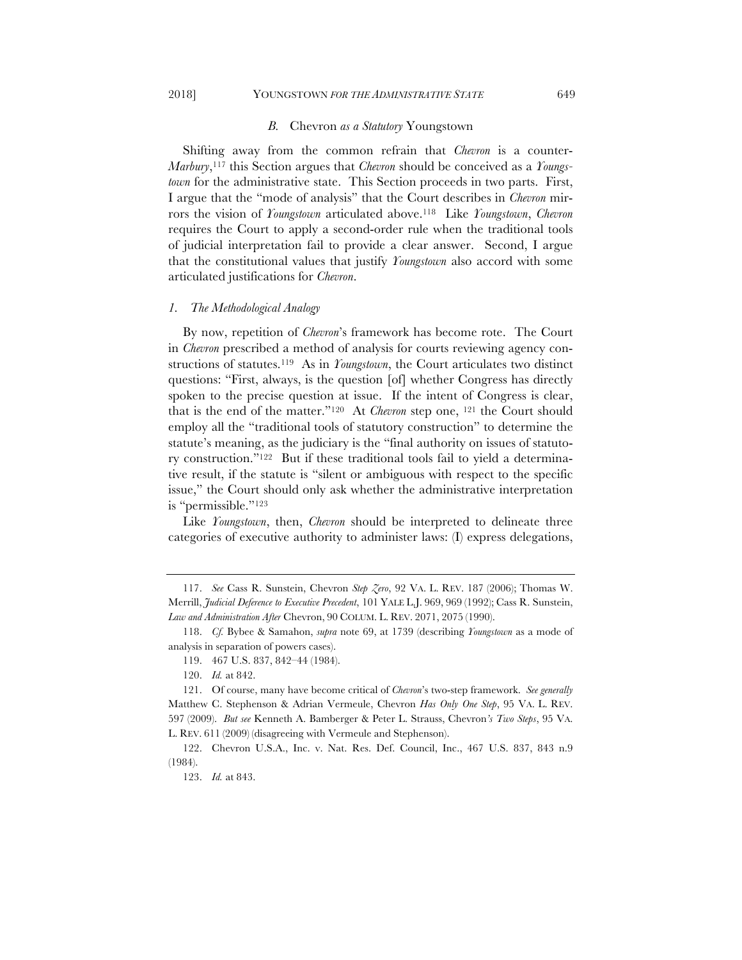# *B.* Chevron *as a Statutory* Youngstown

Shifting away from the common refrain that *Chevron* is a counter-*Marbury*,117 this Section argues that *Chevron* should be conceived as a *Youngstown* for the administrative state. This Section proceeds in two parts. First, I argue that the "mode of analysis" that the Court describes in *Chevron* mirrors the vision of *Youngstown* articulated above.118 Like *Youngstown*, *Chevron* requires the Court to apply a second-order rule when the traditional tools of judicial interpretation fail to provide a clear answer. Second, I argue that the constitutional values that justify *Youngstown* also accord with some articulated justifications for *Chevron*.

#### *1. The Methodological Analogy*

By now, repetition of *Chevron*'s framework has become rote. The Court in *Chevron* prescribed a method of analysis for courts reviewing agency constructions of statutes.119 As in *Youngstown*, the Court articulates two distinct questions: "First, always, is the question [of] whether Congress has directly spoken to the precise question at issue. If the intent of Congress is clear, that is the end of the matter."120 At *Chevron* step one, 121 the Court should employ all the "traditional tools of statutory construction" to determine the statute's meaning, as the judiciary is the "final authority on issues of statutory construction."122 But if these traditional tools fail to yield a determinative result, if the statute is "silent or ambiguous with respect to the specific issue," the Court should only ask whether the administrative interpretation is "permissible."123

Like *Youngstown*, then, *Chevron* should be interpreted to delineate three categories of executive authority to administer laws: (I) express delegations,

2018] YOUNGSTOWN *FOR THE ADMINISTRATIVE STATE* 649

<sup>117.</sup> *See* Cass R. Sunstein, Chevron *Step Zero*, 92 VA. L. REV. 187 (2006); Thomas W. Merrill, *Judicial Deference to Executive Precedent*, 101 YALE L.J. 969, 969 (1992); Cass R. Sunstein, *Law and Administration After* Chevron, 90 COLUM. L. REV. 2071, 2075 (1990).

<sup>118.</sup> *Cf.* Bybee & Samahon, *supra* note 69, at 1739 (describing *Youngstown* as a mode of analysis in separation of powers cases).

<sup>119.</sup> 467 U.S. 837, 842–44 (1984).

<sup>120.</sup> *Id.* at 842.

<sup>121.</sup> Of course, many have become critical of *Chevron*'s two-step framework. *See generally*  Matthew C. Stephenson & Adrian Vermeule, Chevron *Has Only One Step*, 95 VA. L. REV. 597 (2009). *But see* Kenneth A. Bamberger & Peter L. Strauss, Chevron*'s Two Steps*, 95 VA. L. REV. 611 (2009) (disagreeing with Vermeule and Stephenson).

<sup>122.</sup> Chevron U.S.A., Inc. v. Nat. Res. Def. Council, Inc., 467 U.S. 837, 843 n.9 (1984).

<sup>123.</sup> *Id.* at 843.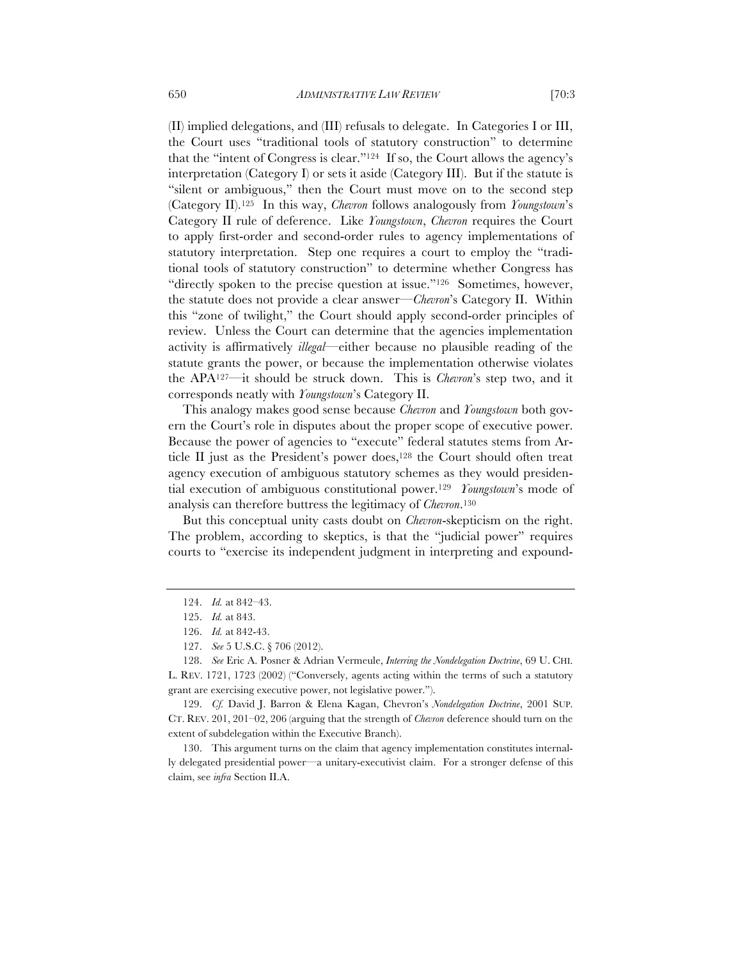(II) implied delegations, and (III) refusals to delegate. In Categories I or III, the Court uses "traditional tools of statutory construction" to determine that the "intent of Congress is clear."124 If so, the Court allows the agency's interpretation (Category I) or sets it aside (Category III). But if the statute is "silent or ambiguous," then the Court must move on to the second step (Category II).125 In this way, *Chevron* follows analogously from *Youngstown*'s Category II rule of deference. Like *Youngstown*, *Chevron* requires the Court to apply first-order and second-order rules to agency implementations of statutory interpretation. Step one requires a court to employ the "traditional tools of statutory construction" to determine whether Congress has "directly spoken to the precise question at issue."126 Sometimes, however, the statute does not provide a clear answer—*Chevron*'s Category II. Within this "zone of twilight," the Court should apply second-order principles of review. Unless the Court can determine that the agencies implementation activity is affirmatively *illegal*—either because no plausible reading of the statute grants the power, or because the implementation otherwise violates the APA127—it should be struck down. This is *Chevron*'s step two, and it corresponds neatly with *Youngstown*'s Category II.

This analogy makes good sense because *Chevron* and *Youngstown* both govern the Court's role in disputes about the proper scope of executive power. Because the power of agencies to "execute" federal statutes stems from Article II just as the President's power does,<sup>128</sup> the Court should often treat agency execution of ambiguous statutory schemes as they would presidential execution of ambiguous constitutional power.129 *Youngstown*'s mode of analysis can therefore buttress the legitimacy of *Chevron*.130

But this conceptual unity casts doubt on *Chevron*-skepticism on the right. The problem, according to skeptics, is that the "judicial power" requires courts to "exercise its independent judgment in interpreting and expound-

130. This argument turns on the claim that agency implementation constitutes internally delegated presidential power—a unitary-executivist claim. For a stronger defense of this claim, see *infra* Section II.A.

<sup>124.</sup> *Id.* at 842–43.

<sup>125.</sup> *Id.* at 843.

<sup>126.</sup> *Id.* at 842-43.

<sup>127.</sup> *See* 5 U.S.C. § 706 (2012).

<sup>128.</sup> *See* Eric A. Posner & Adrian Vermeule, *Interring the Nondelegation Doctrine*, 69 U. CHI. L. REV. 1721, 1723 (2002) ("Conversely, agents acting within the terms of such a statutory grant are exercising executive power, not legislative power.").

<sup>129.</sup> *Cf.* David J. Barron & Elena Kagan, Chevron's *Nondelegation Doctrine*, 2001 SUP. CT. REV. 201, 201–02, 206 (arguing that the strength of *Chevron* deference should turn on the extent of subdelegation within the Executive Branch).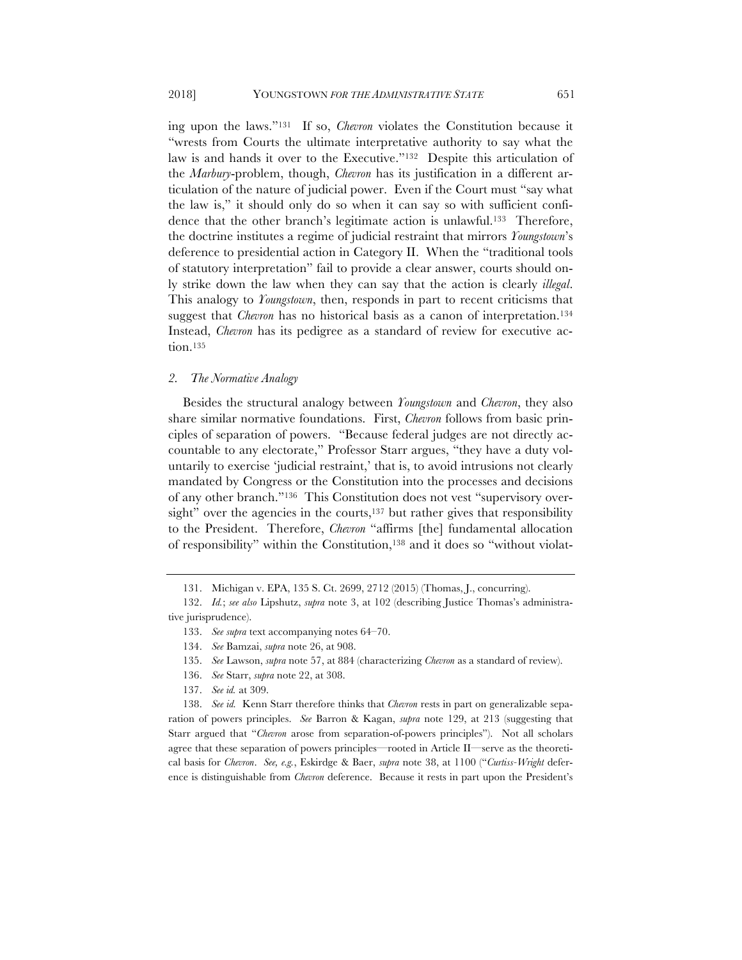ing upon the laws."131 If so, *Chevron* violates the Constitution because it "wrests from Courts the ultimate interpretative authority to say what the law is and hands it over to the Executive."132 Despite this articulation of the *Marbury*-problem, though, *Chevron* has its justification in a different articulation of the nature of judicial power. Even if the Court must "say what the law is," it should only do so when it can say so with sufficient confidence that the other branch's legitimate action is unlawful.<sup>133</sup> Therefore, the doctrine institutes a regime of judicial restraint that mirrors *Youngstown*'s deference to presidential action in Category II. When the "traditional tools of statutory interpretation" fail to provide a clear answer, courts should only strike down the law when they can say that the action is clearly *illegal*. This analogy to *Youngstown*, then, responds in part to recent criticisms that suggest that *Chevron* has no historical basis as a canon of interpretation.<sup>134</sup> Instead, *Chevron* has its pedigree as a standard of review for executive action.135

## *2. The Normative Analogy*

Besides the structural analogy between *Youngstown* and *Chevron*, they also share similar normative foundations. First, *Chevron* follows from basic principles of separation of powers. "Because federal judges are not directly accountable to any electorate," Professor Starr argues, "they have a duty voluntarily to exercise 'judicial restraint,' that is, to avoid intrusions not clearly mandated by Congress or the Constitution into the processes and decisions of any other branch."136 This Constitution does not vest "supervisory oversight" over the agencies in the courts,<sup>137</sup> but rather gives that responsibility to the President. Therefore, *Chevron* "affirms [the] fundamental allocation of responsibility" within the Constitution,138 and it does so "without violat-

- 136. *See* Starr, *supra* note 22, at 308.
- 137. *See id.* at 309.

138. *See id.* Kenn Starr therefore thinks that *Chevron* rests in part on generalizable separation of powers principles. *See* Barron & Kagan, *supra* note 129, at 213 (suggesting that Starr argued that "*Chevron* arose from separation-of-powers principles"). Not all scholars agree that these separation of powers principles—rooted in Article II—serve as the theoretical basis for *Chevron*. *See, e.g.*, Eskirdge & Baer, *supra* note 38, at 1100 ("*Curtiss-Wright* deference is distinguishable from *Chevron* deference. Because it rests in part upon the President's

<sup>131.</sup> Michigan v. EPA, 135 S. Ct. 2699, 2712 (2015) (Thomas, J., concurring).

<sup>132.</sup> *Id.*; *see also* Lipshutz, *supra* note 3, at 102 (describing Justice Thomas's administrative jurisprudence).

<sup>133.</sup> *See supra* text accompanying notes 64–70.

<sup>134.</sup> *See* Bamzai, *supra* note 26, at 908.

<sup>135.</sup> *See* Lawson, *supra* note 57, at 884 (characterizing *Chevron* as a standard of review).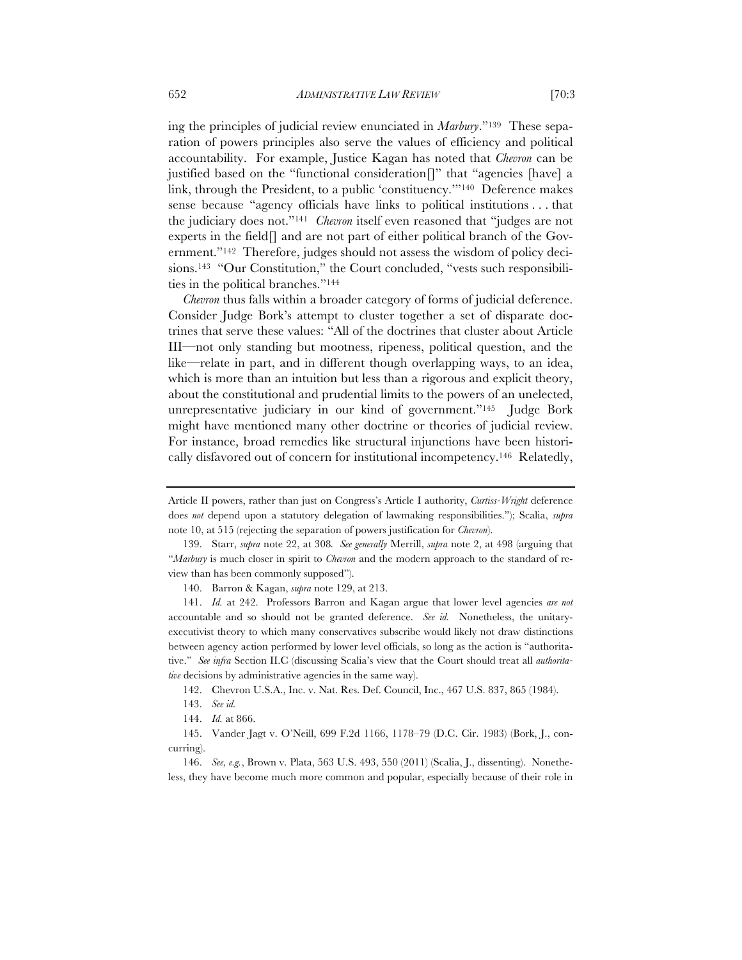ing the principles of judicial review enunciated in *Marbury*."139 These separation of powers principles also serve the values of efficiency and political accountability. For example, Justice Kagan has noted that *Chevron* can be justified based on the "functional consideration[]" that "agencies [have] a link, through the President, to a public 'constituency.'"140 Deference makes sense because "agency officials have links to political institutions . . . that the judiciary does not."141 *Chevron* itself even reasoned that "judges are not experts in the field[] and are not part of either political branch of the Government."142 Therefore, judges should not assess the wisdom of policy decisions.143 "Our Constitution," the Court concluded, "vests such responsibilities in the political branches."144

*Chevron* thus falls within a broader category of forms of judicial deference. Consider Judge Bork's attempt to cluster together a set of disparate doctrines that serve these values: "All of the doctrines that cluster about Article III—not only standing but mootness, ripeness, political question, and the like—relate in part, and in different though overlapping ways, to an idea, which is more than an intuition but less than a rigorous and explicit theory, about the constitutional and prudential limits to the powers of an unelected, unrepresentative judiciary in our kind of government."145 Judge Bork might have mentioned many other doctrine or theories of judicial review. For instance, broad remedies like structural injunctions have been historically disfavored out of concern for institutional incompetency.146 Relatedly,

Article II powers, rather than just on Congress's Article I authority, *Curtiss-Wright* deference does *not* depend upon a statutory delegation of lawmaking responsibilities."); Scalia, *supra*  note 10, at 515 (rejecting the separation of powers justification for *Chevron*).

<sup>139.</sup> Starr, *supra* note 22, at 308*. See generally* Merrill, *supra* note 2, at 498 (arguing that "*Marbury* is much closer in spirit to *Chevron* and the modern approach to the standard of review than has been commonly supposed").

<sup>140.</sup> Barron & Kagan, *supra* note 129, at 213.

<sup>141.</sup> *Id.* at 242. Professors Barron and Kagan argue that lower level agencies *are not*  accountable and so should not be granted deference. *See id.* Nonetheless, the unitaryexecutivist theory to which many conservatives subscribe would likely not draw distinctions between agency action performed by lower level officials, so long as the action is "authoritative." *See infra* Section II.C (discussing Scalia's view that the Court should treat all *authoritative* decisions by administrative agencies in the same way).

<sup>142.</sup> Chevron U.S.A., Inc. v. Nat. Res. Def. Council, Inc., 467 U.S. 837, 865 (1984).

<sup>143.</sup> *See id.*

<sup>144.</sup> *Id.* at 866.

<sup>145.</sup> Vander Jagt v. O'Neill, 699 F.2d 1166, 1178–79 (D.C. Cir. 1983) (Bork, J., concurring).

<sup>146.</sup> *See, e.g.*, Brown v. Plata, 563 U.S. 493, 550 (2011) (Scalia, J., dissenting). Nonetheless, they have become much more common and popular, especially because of their role in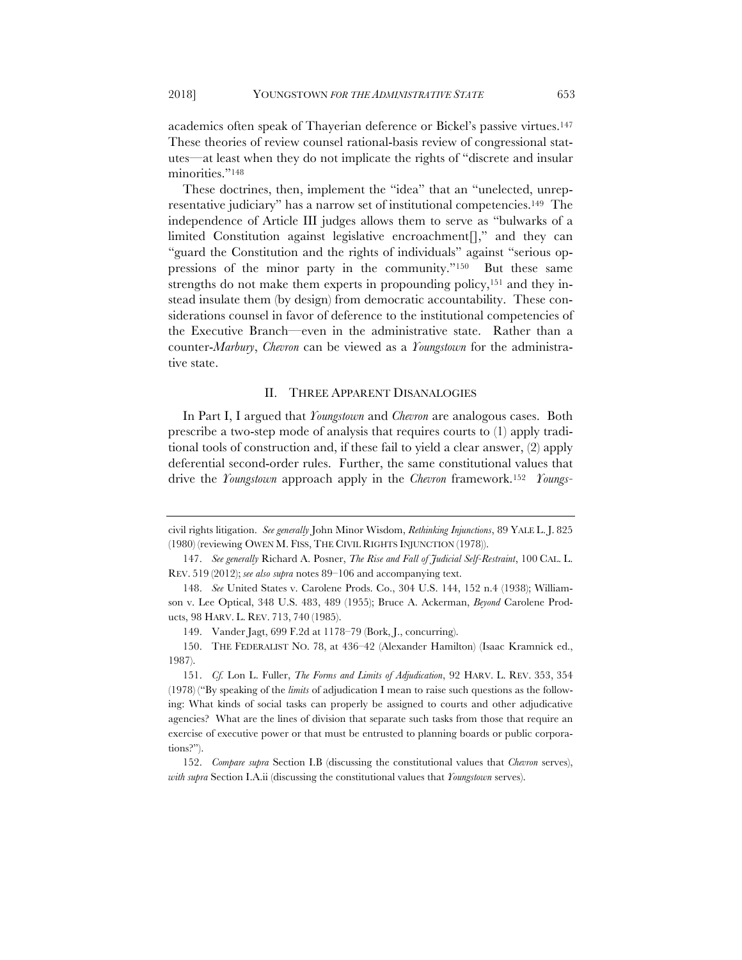academics often speak of Thayerian deference or Bickel's passive virtues.147 These theories of review counsel rational-basis review of congressional statutes—at least when they do not implicate the rights of "discrete and insular minorities."148

These doctrines, then, implement the "idea" that an "unelected, unrepresentative judiciary" has a narrow set of institutional competencies.149 The independence of Article III judges allows them to serve as "bulwarks of a limited Constitution against legislative encroachment[]," and they can "guard the Constitution and the rights of individuals" against "serious oppressions of the minor party in the community."150 But these same strengths do not make them experts in propounding policy,<sup>151</sup> and they instead insulate them (by design) from democratic accountability. These considerations counsel in favor of deference to the institutional competencies of the Executive Branch—even in the administrative state. Rather than a counter-*Marbury*, *Chevron* can be viewed as a *Youngstown* for the administrative state.

#### II. THREE APPARENT DISANALOGIES

In Part I, I argued that *Youngstown* and *Chevron* are analogous cases. Both prescribe a two-step mode of analysis that requires courts to (1) apply traditional tools of construction and, if these fail to yield a clear answer, (2) apply deferential second-order rules. Further, the same constitutional values that drive the *Youngstown* approach apply in the *Chevron* framework.152 *Youngs-*

civil rights litigation. *See generally* John Minor Wisdom, *Rethinking Injunctions*, 89 YALE L. J. 825 (1980) (reviewing OWEN M. FISS, THE CIVIL RIGHTS INJUNCTION (1978)).

<sup>147.</sup> *See generally* Richard A. Posner, *The Rise and Fall of Judicial Self-Restraint*, 100 CAL. L. REV. 519 (2012); *see also supra* notes 89–106 and accompanying text.

<sup>148.</sup> *See* United States v. Carolene Prods. Co., 304 U.S. 144, 152 n.4 (1938); Williamson v. Lee Optical, 348 U.S. 483, 489 (1955); Bruce A. Ackerman, *Beyond* Carolene Products, 98 HARV. L. REV. 713, 740 (1985).

<sup>149.</sup> Vander Jagt, 699 F.2d at 1178–79 (Bork, J., concurring).

<sup>150.</sup> THE FEDERALIST NO. 78, at 436–42 (Alexander Hamilton) (Isaac Kramnick ed., 1987).

<sup>151.</sup> *Cf.* Lon L. Fuller, *The Forms and Limits of Adjudication*, 92 HARV. L. REV. 353, 354 (1978) ("By speaking of the *limits* of adjudication I mean to raise such questions as the following: What kinds of social tasks can properly be assigned to courts and other adjudicative agencies? What are the lines of division that separate such tasks from those that require an exercise of executive power or that must be entrusted to planning boards or public corporations?").

<sup>152.</sup> *Compare supra* Section I.B (discussing the constitutional values that *Chevron* serves), *with supra* Section I.A.ii (discussing the constitutional values that *Youngstown* serves).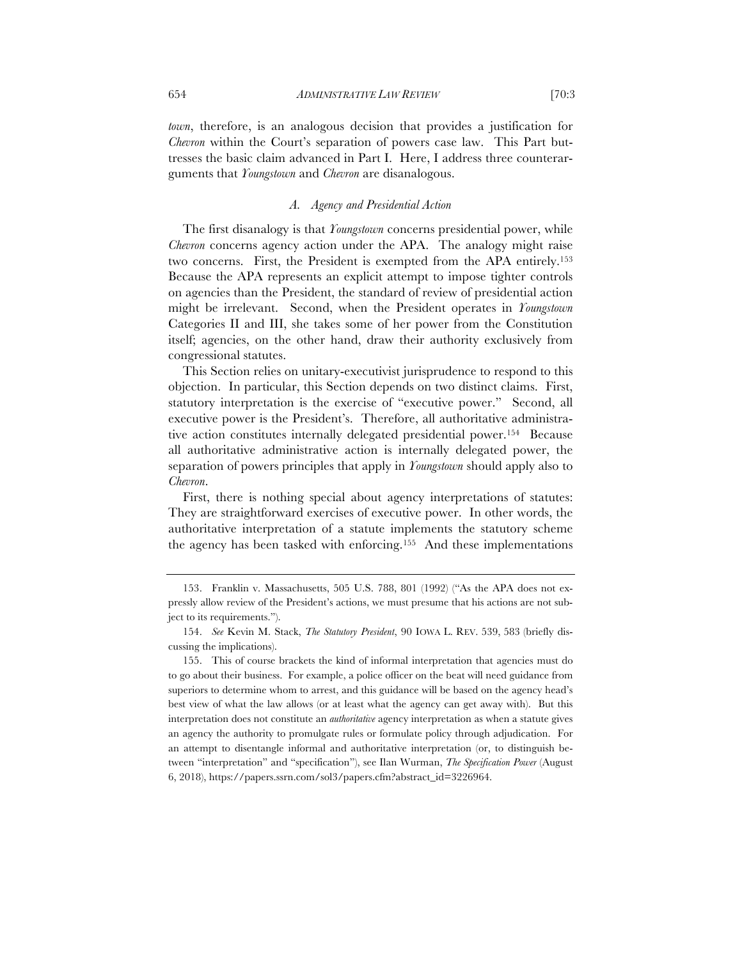*town*, therefore, is an analogous decision that provides a justification for *Chevron* within the Court's separation of powers case law. This Part buttresses the basic claim advanced in Part I. Here, I address three counterarguments that *Youngstown* and *Chevron* are disanalogous.

## *A. Agency and Presidential Action*

The first disanalogy is that *Youngstown* concerns presidential power, while *Chevron* concerns agency action under the APA. The analogy might raise two concerns. First, the President is exempted from the APA entirely.153 Because the APA represents an explicit attempt to impose tighter controls on agencies than the President, the standard of review of presidential action might be irrelevant. Second, when the President operates in *Youngstown* Categories II and III, she takes some of her power from the Constitution itself; agencies, on the other hand, draw their authority exclusively from congressional statutes.

This Section relies on unitary-executivist jurisprudence to respond to this objection. In particular, this Section depends on two distinct claims. First, statutory interpretation is the exercise of "executive power." Second, all executive power is the President's. Therefore, all authoritative administrative action constitutes internally delegated presidential power.154 Because all authoritative administrative action is internally delegated power, the separation of powers principles that apply in *Youngstown* should apply also to *Chevron*.

First, there is nothing special about agency interpretations of statutes: They are straightforward exercises of executive power. In other words, the authoritative interpretation of a statute implements the statutory scheme the agency has been tasked with enforcing.155 And these implementations

<sup>153.</sup> Franklin v. Massachusetts, 505 U.S. 788, 801 (1992) ("As the APA does not expressly allow review of the President's actions, we must presume that his actions are not subject to its requirements.").

<sup>154.</sup> *See* Kevin M. Stack, *The Statutory President*, 90 IOWA L. REV. 539, 583 (briefly discussing the implications).

<sup>155.</sup> This of course brackets the kind of informal interpretation that agencies must do to go about their business. For example, a police officer on the beat will need guidance from superiors to determine whom to arrest, and this guidance will be based on the agency head's best view of what the law allows (or at least what the agency can get away with). But this interpretation does not constitute an *authoritative* agency interpretation as when a statute gives an agency the authority to promulgate rules or formulate policy through adjudication. For an attempt to disentangle informal and authoritative interpretation (or, to distinguish between "interpretation" and "specification"), see Ilan Wurman, *The Specification Power* (August 6, 2018), https://papers.ssrn.com/sol3/papers.cfm?abstract\_id=3226964.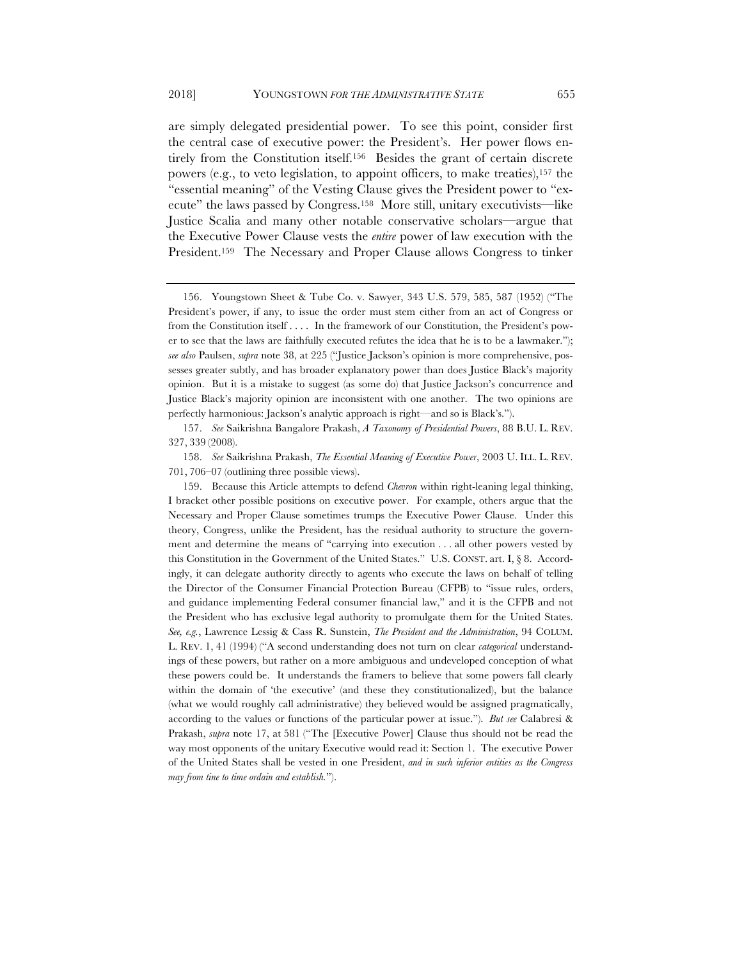are simply delegated presidential power. To see this point, consider first the central case of executive power: the President's. Her power flows entirely from the Constitution itself.156 Besides the grant of certain discrete powers (e.g., to veto legislation, to appoint officers, to make treaties),157 the "essential meaning" of the Vesting Clause gives the President power to "execute" the laws passed by Congress.158 More still, unitary executivists—like Justice Scalia and many other notable conservative scholars—argue that the Executive Power Clause vests the *entire* power of law execution with the President.159 The Necessary and Proper Clause allows Congress to tinker

159. Because this Article attempts to defend *Chevron* within right-leaning legal thinking, I bracket other possible positions on executive power. For example, others argue that the Necessary and Proper Clause sometimes trumps the Executive Power Clause. Under this theory, Congress, unlike the President, has the residual authority to structure the government and determine the means of "carrying into execution . . . all other powers vested by this Constitution in the Government of the United States." U.S. CONST. art. I,  $\S$  8. Accordingly, it can delegate authority directly to agents who execute the laws on behalf of telling the Director of the Consumer Financial Protection Bureau (CFPB) to "issue rules, orders, and guidance implementing Federal consumer financial law," and it is the CFPB and not the President who has exclusive legal authority to promulgate them for the United States. *See, e.g.*, Lawrence Lessig & Cass R. Sunstein, *The President and the Administration*, 94 COLUM. L. REV. 1, 41 (1994) ("A second understanding does not turn on clear *categorical* understandings of these powers, but rather on a more ambiguous and undeveloped conception of what these powers could be. It understands the framers to believe that some powers fall clearly within the domain of 'the executive' (and these they constitutionalized), but the balance (what we would roughly call administrative) they believed would be assigned pragmatically, according to the values or functions of the particular power at issue."). *But see* Calabresi & Prakash, *supra* note 17, at 581 ("The [Executive Power] Clause thus should not be read the way most opponents of the unitary Executive would read it: Section 1. The executive Power of the United States shall be vested in one President, *and in such inferior entities as the Congress may from tine to time ordain and establish.*").

<sup>156.</sup> Youngstown Sheet & Tube Co. v. Sawyer, 343 U.S. 579, 585, 587 (1952) ("The President's power, if any, to issue the order must stem either from an act of Congress or from the Constitution itself . . . . In the framework of our Constitution, the President's power to see that the laws are faithfully executed refutes the idea that he is to be a lawmaker."); *see also* Paulsen, *supra* note 38, at 225 ("Justice Jackson's opinion is more comprehensive, possesses greater subtly, and has broader explanatory power than does Justice Black's majority opinion. But it is a mistake to suggest (as some do) that Justice Jackson's concurrence and Justice Black's majority opinion are inconsistent with one another. The two opinions are perfectly harmonious: Jackson's analytic approach is right—and so is Black's.").

<sup>157.</sup> *See* Saikrishna Bangalore Prakash, *A Taxonomy of Presidential Powers*, 88 B.U. L. REV. 327, 339 (2008).

<sup>158.</sup> *See* Saikrishna Prakash, *The Essential Meaning of Executive Power*, 2003 U. ILL. L. REV. 701, 706–07 (outlining three possible views).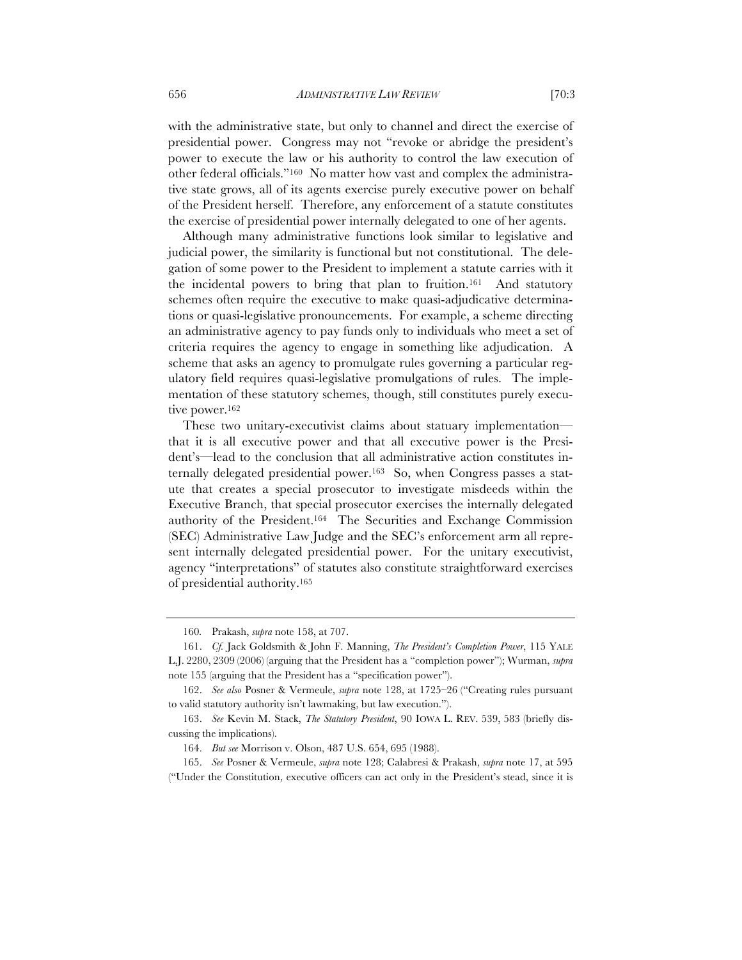with the administrative state, but only to channel and direct the exercise of presidential power. Congress may not "revoke or abridge the president's power to execute the law or his authority to control the law execution of other federal officials."160 No matter how vast and complex the administrative state grows, all of its agents exercise purely executive power on behalf of the President herself. Therefore, any enforcement of a statute constitutes the exercise of presidential power internally delegated to one of her agents.

Although many administrative functions look similar to legislative and judicial power, the similarity is functional but not constitutional. The delegation of some power to the President to implement a statute carries with it the incidental powers to bring that plan to fruition.<sup>161</sup> And statutory schemes often require the executive to make quasi-adjudicative determinations or quasi-legislative pronouncements. For example, a scheme directing an administrative agency to pay funds only to individuals who meet a set of criteria requires the agency to engage in something like adjudication. A scheme that asks an agency to promulgate rules governing a particular regulatory field requires quasi-legislative promulgations of rules. The implementation of these statutory schemes, though, still constitutes purely executive power.<sup>162</sup>

These two unitary-executivist claims about statuary implementation that it is all executive power and that all executive power is the President's—lead to the conclusion that all administrative action constitutes internally delegated presidential power.<sup>163</sup> So, when Congress passes a statute that creates a special prosecutor to investigate misdeeds within the Executive Branch, that special prosecutor exercises the internally delegated authority of the President.164 The Securities and Exchange Commission (SEC) Administrative Law Judge and the SEC's enforcement arm all represent internally delegated presidential power. For the unitary executivist, agency "interpretations" of statutes also constitute straightforward exercises of presidential authority.165

<sup>160</sup>*.* Prakash, *supra* note 158, at 707.

<sup>161.</sup> *Cf.* Jack Goldsmith & John F. Manning, *The President's Completion Power*, 115 YALE L.J. 2280, 2309 (2006) (arguing that the President has a "completion power"); Wurman, *supra*  note 155 (arguing that the President has a "specification power").

<sup>162.</sup> *See also* Posner & Vermeule, *supra* note 128, at 1725–26 ("Creating rules pursuant to valid statutory authority isn't lawmaking, but law execution.").

<sup>163.</sup> *See* Kevin M. Stack, *The Statutory President*, 90 IOWA L. REV. 539, 583 (briefly discussing the implications).

<sup>164.</sup> *But see* Morrison v. Olson, 487 U.S. 654, 695 (1988).

<sup>165.</sup> *See* Posner & Vermeule, *supra* note 128; Calabresi & Prakash, *supra* note 17, at 595 ("Under the Constitution, executive officers can act only in the President's stead, since it is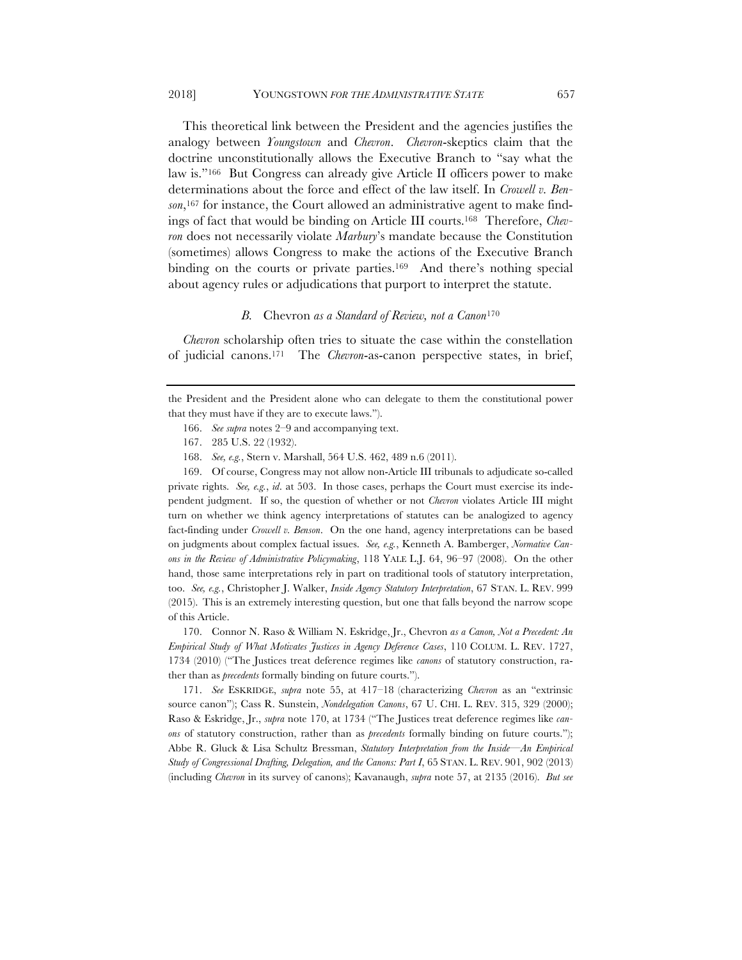#### 2018] YOUNGSTOWN *FOR THE ADMINISTRATIVE STATE* 657

This theoretical link between the President and the agencies justifies the analogy between *Youngstown* and *Chevron*. *Chevron*-skeptics claim that the doctrine unconstitutionally allows the Executive Branch to "say what the law is."166 But Congress can already give Article II officers power to make determinations about the force and effect of the law itself. In *Crowell v. Benson*,167 for instance, the Court allowed an administrative agent to make findings of fact that would be binding on Article III courts.168 Therefore, *Chevron* does not necessarily violate *Marbury*'s mandate because the Constitution (sometimes) allows Congress to make the actions of the Executive Branch binding on the courts or private parties.<sup>169</sup> And there's nothing special about agency rules or adjudications that purport to interpret the statute.

#### *B.* Chevron *as a Standard of Review, not a Canon*<sup>170</sup>

*Chevron* scholarship often tries to situate the case within the constellation of judicial canons.171 The *Chevron*-as-canon perspective states, in brief,

the President and the President alone who can delegate to them the constitutional power that they must have if they are to execute laws.").

- 166. *See supra* notes 2–9 and accompanying text.
- 167. 285 U.S. 22 (1932).
- 168. *See, e.g.*, Stern v. Marshall, 564 U.S. 462, 489 n.6 (2011).

169. Of course, Congress may not allow non-Article III tribunals to adjudicate so-called private rights. *See, e.g.*, *id*. at 503. In those cases, perhaps the Court must exercise its independent judgment. If so, the question of whether or not *Chevron* violates Article III might turn on whether we think agency interpretations of statutes can be analogized to agency fact-finding under *Crowell v. Benson*. On the one hand, agency interpretations can be based on judgments about complex factual issues. *See, e.g.*, Kenneth A. Bamberger, *Normative Canons in the Review of Administrative Policymaking*, 118 YALE L.J. 64, 96–97 (2008). On the other hand, those same interpretations rely in part on traditional tools of statutory interpretation, too. *See, e.g.*, Christopher J. Walker, *Inside Agency Statutory Interpretation*, 67 STAN. L. REV. 999 (2015). This is an extremely interesting question, but one that falls beyond the narrow scope of this Article.

170. Connor N. Raso & William N. Eskridge, Jr., Chevron *as a Canon, Not a Precedent: An Empirical Study of What Motivates Justices in Agency Deference Cases*, 110 COLUM. L. REV. 1727, 1734 (2010) ("The Justices treat deference regimes like *canons* of statutory construction, rather than as *precedents* formally binding on future courts.").

171. *See* ESKRIDGE, *supra* note 55, at 417–18 (characterizing *Chevron* as an "extrinsic source canon"); Cass R. Sunstein, *Nondelegation Canons*, 67 U. CHI. L. REV. 315, 329 (2000); Raso & Eskridge, Jr., *supra* note 170, at 1734 ("The Justices treat deference regimes like *canons* of statutory construction, rather than as *precedents* formally binding on future courts."); Abbe R. Gluck & Lisa Schultz Bressman, *Statutory Interpretation from the Inside—An Empirical Study of Congressional Drafting, Delegation, and the Canons: Part I*, 65 STAN. L. REV. 901, 902 (2013) (including *Chevron* in its survey of canons); Kavanaugh, *supra* note 57, at 2135 (2016). *But see*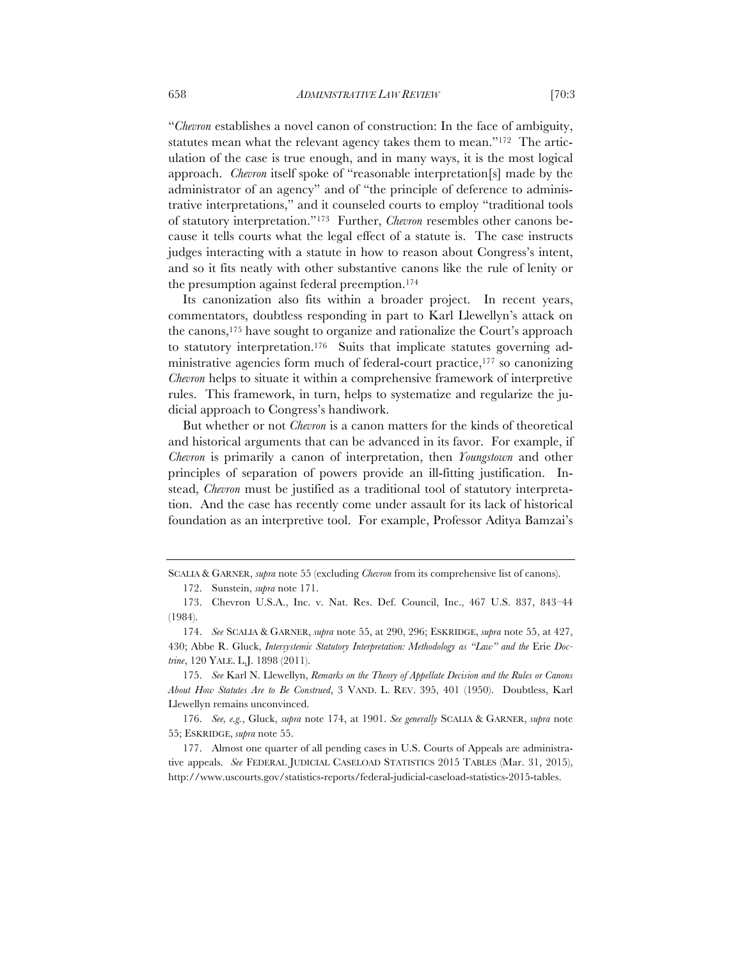"*Chevron* establishes a novel canon of construction: In the face of ambiguity, statutes mean what the relevant agency takes them to mean."172 The articulation of the case is true enough, and in many ways, it is the most logical approach. *Chevron* itself spoke of "reasonable interpretation[s] made by the administrator of an agency" and of "the principle of deference to administrative interpretations," and it counseled courts to employ "traditional tools

of statutory interpretation."173 Further, *Chevron* resembles other canons because it tells courts what the legal effect of a statute is. The case instructs judges interacting with a statute in how to reason about Congress's intent, and so it fits neatly with other substantive canons like the rule of lenity or the presumption against federal preemption.174

Its canonization also fits within a broader project. In recent years, commentators, doubtless responding in part to Karl Llewellyn's attack on the canons,175 have sought to organize and rationalize the Court's approach to statutory interpretation.176 Suits that implicate statutes governing administrative agencies form much of federal-court practice,177 so canonizing *Chevron* helps to situate it within a comprehensive framework of interpretive rules. This framework, in turn, helps to systematize and regularize the judicial approach to Congress's handiwork.

But whether or not *Chevron* is a canon matters for the kinds of theoretical and historical arguments that can be advanced in its favor. For example, if *Chevron* is primarily a canon of interpretation, then *Youngstown* and other principles of separation of powers provide an ill-fitting justification. Instead, *Chevron* must be justified as a traditional tool of statutory interpretation. And the case has recently come under assault for its lack of historical foundation as an interpretive tool. For example, Professor Aditya Bamzai's

175. *See* Karl N. Llewellyn, *Remarks on the Theory of Appellate Decision and the Rules or Canons About How Statutes Are to Be Construed*, 3 VAND. L. REV. 395, 401 (1950). Doubtless, Karl Llewellyn remains unconvinced.

176. *See, e.g.*, Gluck, *supra* note 174, at 1901. *See generally* SCALIA & GARNER, *supra* note 55; ESKRIDGE, *supra* note 55.

177. Almost one quarter of all pending cases in U.S. Courts of Appeals are administrative appeals. *See* FEDERAL JUDICIAL CASELOAD STATISTICS 2015 TABLES (Mar. 31, 2015), http://www.uscourts.gov/statistics-reports/federal-judicial-caseload-statistics-2015-tables.

SCALIA & GARNER, *supra* note 55 (excluding *Chevron* from its comprehensive list of canons).

<sup>172.</sup> Sunstein, *supra* note 171.

<sup>173.</sup> Chevron U.S.A., Inc. v. Nat. Res. Def. Council, Inc., 467 U.S. 837, 843–44 (1984).

<sup>174.</sup> *See* SCALIA & GARNER, *supra* note 55, at 290, 296; ESKRIDGE, *supra* note 55, at 427, 430; Abbe R. Gluck, *Intersystemic Statutory Interpretation: Methodology as "Law" and the Erie Doctrine*, 120 YALE. L.J. 1898 (2011).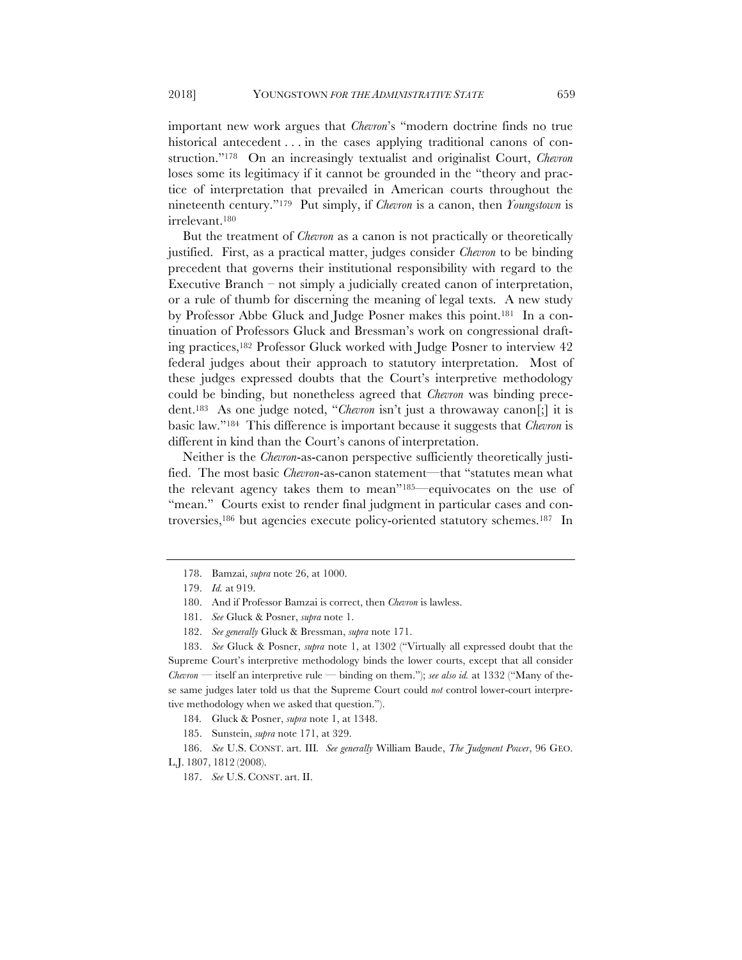important new work argues that *Chevron*'s "modern doctrine finds no true historical antecedent . . . in the cases applying traditional canons of construction."178 On an increasingly textualist and originalist Court, *Chevron* loses some its legitimacy if it cannot be grounded in the "theory and practice of interpretation that prevailed in American courts throughout the nineteenth century."179 Put simply, if *Chevron* is a canon, then *Youngstown* is irrelevant.180

But the treatment of *Chevron* as a canon is not practically or theoretically justified. First, as a practical matter, judges consider *Chevron* to be binding precedent that governs their institutional responsibility with regard to the Executive Branch – not simply a judicially created canon of interpretation, or a rule of thumb for discerning the meaning of legal texts. A new study by Professor Abbe Gluck and Judge Posner makes this point.181 In a continuation of Professors Gluck and Bressman's work on congressional drafting practices,182 Professor Gluck worked with Judge Posner to interview 42 federal judges about their approach to statutory interpretation. Most of these judges expressed doubts that the Court's interpretive methodology could be binding, but nonetheless agreed that *Chevron* was binding precedent.183 As one judge noted, "*Chevron* isn't just a throwaway canon[;] it is basic law."184 This difference is important because it suggests that *Chevron* is different in kind than the Court's canons of interpretation.

Neither is the *Chevron*-as-canon perspective sufficiently theoretically justified. The most basic *Chevron*-as-canon statement—that "statutes mean what the relevant agency takes them to mean"185—equivocates on the use of "mean." Courts exist to render final judgment in particular cases and controversies,186 but agencies execute policy-oriented statutory schemes.187 In

183. *See* Gluck & Posner, *supra* note 1, at 1302 ("Virtually all expressed doubt that the Supreme Court's interpretive methodology binds the lower courts, except that all consider *Chevron* — itself an interpretive rule — binding on them."); *see also id.* at 1332 ("Many of these same judges later told us that the Supreme Court could *not* control lower-court interpretive methodology when we asked that question.").

184*.* Gluck & Posner, *supra* note 1, at 1348.

185. Sunstein, *supra* note 171, at 329.

186. *See* U.S. CONST. art. III*. See generally* William Baude, *The Judgment Power*, 96 GEO. L.J. 1807, 1812 (2008).

187. *See* U.S. CONST. art. II.

<sup>178.</sup> Bamzai, *supra* note 26, at 1000.

<sup>179.</sup> *Id.* at 919.

<sup>180.</sup> And if Professor Bamzai is correct, then *Chevron* is lawless.

<sup>181.</sup> *See* Gluck & Posner, *supra* note 1.

<sup>182.</sup> *See generally* Gluck & Bressman, *supra* note 171.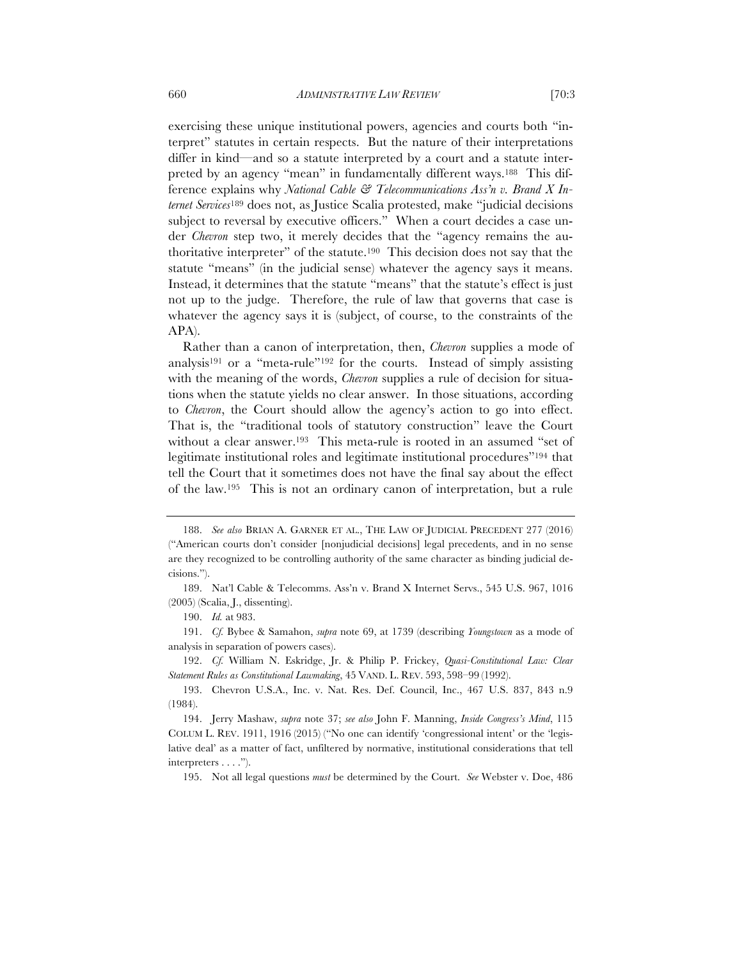exercising these unique institutional powers, agencies and courts both "interpret" statutes in certain respects. But the nature of their interpretations differ in kind—and so a statute interpreted by a court and a statute interpreted by an agency "mean" in fundamentally different ways.188 This difference explains why *National Cable & Telecommunications Ass'n v. Brand X Internet Services*<sup>189</sup> does not, as Justice Scalia protested, make "judicial decisions subject to reversal by executive officers." When a court decides a case under *Chevron* step two, it merely decides that the "agency remains the authoritative interpreter" of the statute.190 This decision does not say that the statute "means" (in the judicial sense) whatever the agency says it means. Instead, it determines that the statute "means" that the statute's effect is just not up to the judge. Therefore, the rule of law that governs that case is whatever the agency says it is (subject, of course, to the constraints of the APA).

Rather than a canon of interpretation, then, *Chevron* supplies a mode of analysis191 or a "meta-rule"192 for the courts. Instead of simply assisting with the meaning of the words, *Chevron* supplies a rule of decision for situations when the statute yields no clear answer. In those situations, according to *Chevron*, the Court should allow the agency's action to go into effect. That is, the "traditional tools of statutory construction" leave the Court without a clear answer.193 This meta-rule is rooted in an assumed "set of legitimate institutional roles and legitimate institutional procedures"194 that tell the Court that it sometimes does not have the final say about the effect of the law.195 This is not an ordinary canon of interpretation, but a rule

190. *Id.* at 983.

191. *Cf.* Bybee & Samahon, *supra* note 69, at 1739 (describing *Youngstown* as a mode of analysis in separation of powers cases).

192. *Cf.* William N. Eskridge, Jr. & Philip P. Frickey, *Quasi-Constitutional Law: Clear Statement Rules as Constitutional Lawmaking*, 45 VAND. L. REV. 593, 598–99 (1992).

193. Chevron U.S.A., Inc. v. Nat. Res. Def. Council, Inc., 467 U.S. 837, 843 n.9 (1984).

195. Not all legal questions *must* be determined by the Court. *See* Webster v. Doe, 486

<sup>188.</sup> *See also* BRIAN A. GARNER ET AL., THE LAW OF JUDICIAL PRECEDENT 277 (2016) ("American courts don't consider [nonjudicial decisions] legal precedents, and in no sense are they recognized to be controlling authority of the same character as binding judicial decisions.").

<sup>189.</sup> Nat'l Cable & Telecomms. Ass'n v. Brand X Internet Servs., 545 U.S. 967, 1016 (2005) (Scalia, J., dissenting).

<sup>194.</sup> Jerry Mashaw, *supra* note 37; *see also* John F. Manning, *Inside Congress's Mind*, 115 COLUM L. REV. 1911, 1916 (2015) ("No one can identify 'congressional intent' or the 'legislative deal' as a matter of fact, unfiltered by normative, institutional considerations that tell interpreters . . . .").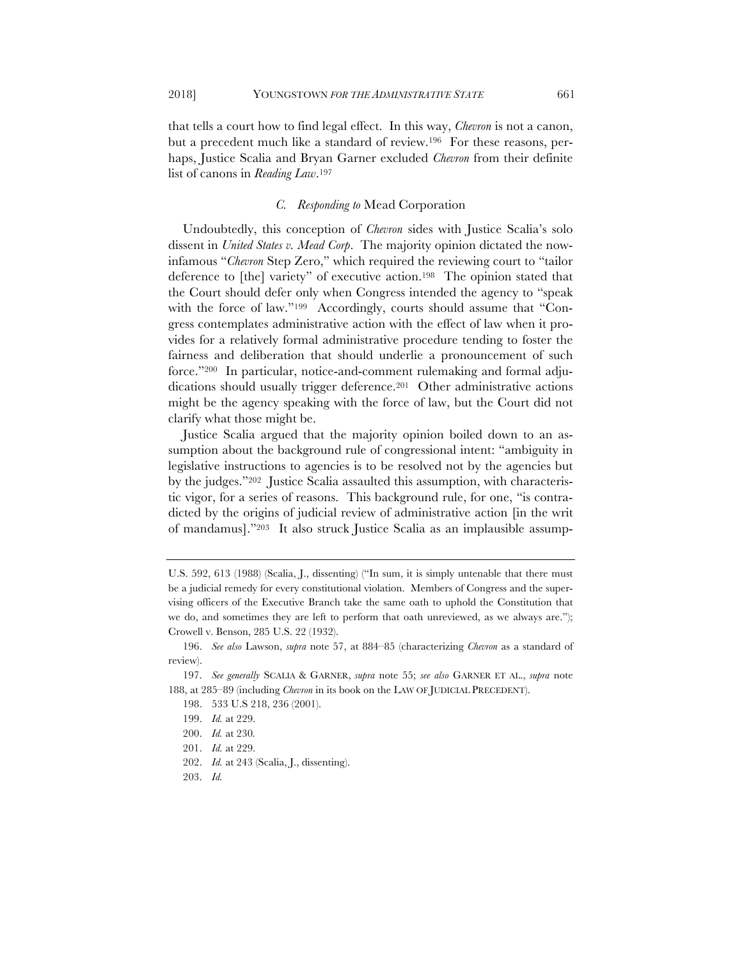that tells a court how to find legal effect. In this way, *Chevron* is not a canon, but a precedent much like a standard of review.196 For these reasons, perhaps, Justice Scalia and Bryan Garner excluded *Chevron* from their definite list of canons in *Reading Law*.197

## *C. Responding to* Mead Corporation

Undoubtedly, this conception of *Chevron* sides with Justice Scalia's solo dissent in *United States v. Mead Corp*. The majority opinion dictated the nowinfamous "*Chevron* Step Zero," which required the reviewing court to "tailor deference to [the] variety" of executive action.198 The opinion stated that the Court should defer only when Congress intended the agency to "speak with the force of law."<sup>199</sup> Accordingly, courts should assume that "Congress contemplates administrative action with the effect of law when it provides for a relatively formal administrative procedure tending to foster the fairness and deliberation that should underlie a pronouncement of such force."200 In particular, notice-and-comment rulemaking and formal adjudications should usually trigger deference.<sup>201</sup> Other administrative actions might be the agency speaking with the force of law, but the Court did not clarify what those might be.

Justice Scalia argued that the majority opinion boiled down to an assumption about the background rule of congressional intent: "ambiguity in legislative instructions to agencies is to be resolved not by the agencies but by the judges."202 Justice Scalia assaulted this assumption, with characteristic vigor, for a series of reasons. This background rule, for one, "is contradicted by the origins of judicial review of administrative action [in the writ of mandamus]."203 It also struck Justice Scalia as an implausible assump-

203. *Id.*

U.S. 592, 613 (1988) (Scalia, J., dissenting) ("In sum, it is simply untenable that there must be a judicial remedy for every constitutional violation. Members of Congress and the supervising officers of the Executive Branch take the same oath to uphold the Constitution that we do, and sometimes they are left to perform that oath unreviewed, as we always are."); Crowell v. Benson, 285 U.S. 22 (1932).

<sup>196.</sup> *See also* Lawson, *supra* note 57, at 884–85 (characterizing *Chevron* as a standard of review).

<sup>197.</sup> *See generally* SCALIA & GARNER, *supra* note 55; *see also* GARNER ET AL., *supra* note 188, at 285–89 (including *Chevron* in its book on the LAW OF JUDICIAL PRECEDENT).

<sup>198.</sup> 533 U.S 218, 236 (2001).

<sup>199.</sup> *Id.* at 229.

<sup>200.</sup> *Id.* at 230*.*

<sup>201.</sup> *Id.* at 229.

<sup>202.</sup> *Id.* at 243 (Scalia, J., dissenting).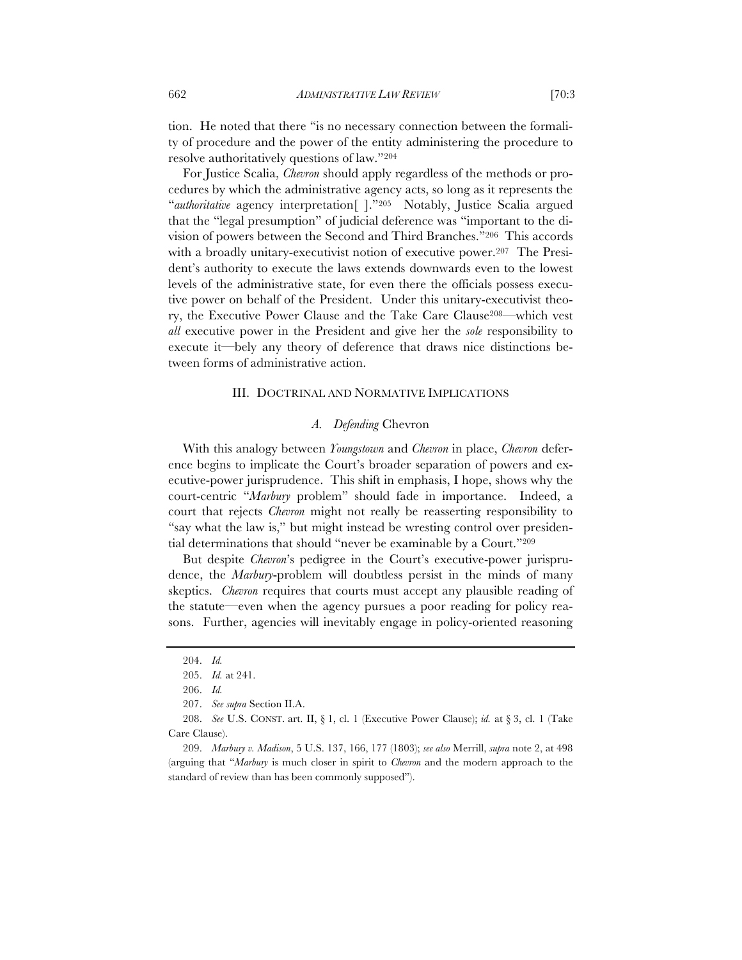tion. He noted that there "is no necessary connection between the formality of procedure and the power of the entity administering the procedure to resolve authoritatively questions of law."204

For Justice Scalia, *Chevron* should apply regardless of the methods or procedures by which the administrative agency acts, so long as it represents the "*authoritative* agency interpretation[ ]."205 Notably, Justice Scalia argued that the "legal presumption" of judicial deference was "important to the division of powers between the Second and Third Branches."206 This accords with a broadly unitary-executivist notion of executive power.<sup>207</sup> The President's authority to execute the laws extends downwards even to the lowest levels of the administrative state, for even there the officials possess executive power on behalf of the President. Under this unitary-executivist theory, the Executive Power Clause and the Take Care Clause208—which vest *all* executive power in the President and give her the *sole* responsibility to execute it—bely any theory of deference that draws nice distinctions between forms of administrative action.

#### III. DOCTRINAL AND NORMATIVE IMPLICATIONS

#### *A. Defending* Chevron

With this analogy between *Youngstown* and *Chevron* in place, *Chevron* deference begins to implicate the Court's broader separation of powers and executive-power jurisprudence. This shift in emphasis, I hope, shows why the court-centric "*Marbury* problem" should fade in importance. Indeed, a court that rejects *Chevron* might not really be reasserting responsibility to "say what the law is," but might instead be wresting control over presidential determinations that should "never be examinable by a Court."209

But despite *Chevron*'s pedigree in the Court's executive-power jurisprudence, the *Marbury*-problem will doubtless persist in the minds of many skeptics. *Chevron* requires that courts must accept any plausible reading of the statute—even when the agency pursues a poor reading for policy reasons. Further, agencies will inevitably engage in policy-oriented reasoning

<sup>204.</sup> *Id.*

<sup>205.</sup> *Id.* at 241.

<sup>206.</sup> *Id.*

<sup>207.</sup> *See supra* Section II.A.

<sup>208.</sup> *See* U.S. CONST. art. II, § 1, cl. 1 (Executive Power Clause); *id.* at § 3, cl. 1 (Take Care Clause).

<sup>209.</sup> *Marbury v. Madison*, 5 U.S. 137, 166, 177 (1803); *see also* Merrill, *supra* note 2, at 498 (arguing that "*Marbury* is much closer in spirit to *Chevron* and the modern approach to the standard of review than has been commonly supposed").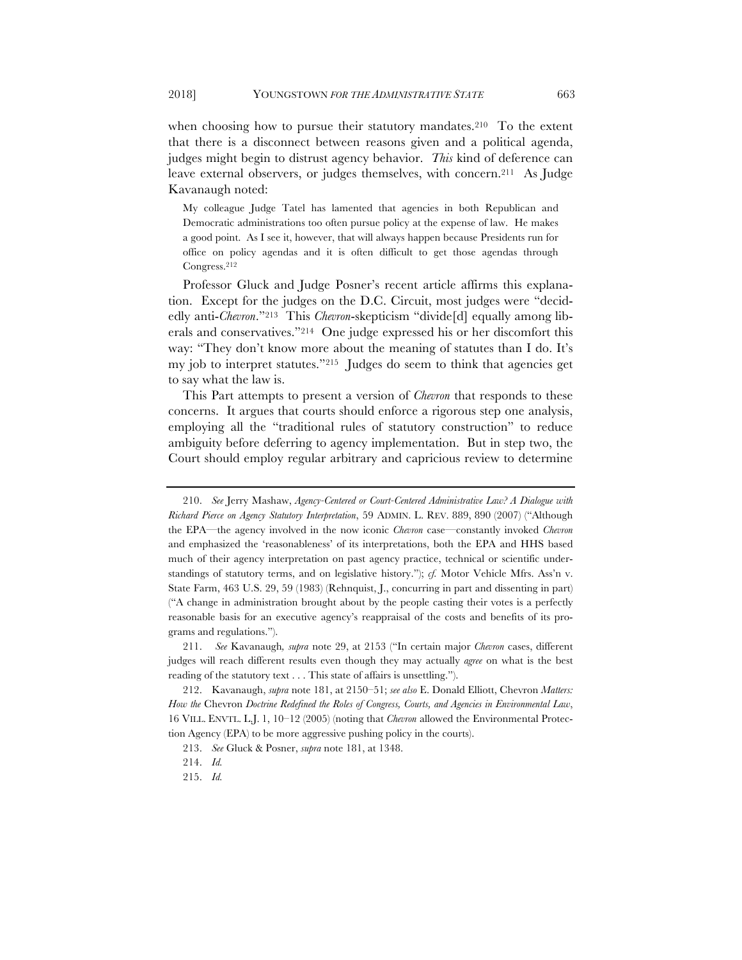when choosing how to pursue their statutory mandates.<sup>210</sup> To the extent that there is a disconnect between reasons given and a political agenda, judges might begin to distrust agency behavior. *This* kind of deference can leave external observers, or judges themselves, with concern.211 As Judge Kavanaugh noted:

My colleague Judge Tatel has lamented that agencies in both Republican and Democratic administrations too often pursue policy at the expense of law. He makes a good point. As I see it, however, that will always happen because Presidents run for office on policy agendas and it is often difficult to get those agendas through Congress.212

Professor Gluck and Judge Posner's recent article affirms this explanation. Except for the judges on the D.C. Circuit, most judges were "decidedly anti-*Chevron*."213 This *Chevron*-skepticism "divide[d] equally among liberals and conservatives."214 One judge expressed his or her discomfort this way: "They don't know more about the meaning of statutes than I do. It's my job to interpret statutes."215 Judges do seem to think that agencies get to say what the law is.

This Part attempts to present a version of *Chevron* that responds to these concerns. It argues that courts should enforce a rigorous step one analysis, employing all the "traditional rules of statutory construction" to reduce ambiguity before deferring to agency implementation. But in step two, the Court should employ regular arbitrary and capricious review to determine

<sup>210.</sup> *See* Jerry Mashaw, *Agency-Centered or Court-Centered Administrative Law? A Dialogue with Richard Pierce on Agency Statutory Interpretation*, 59 ADMIN. L. REV. 889, 890 (2007) ("Although the EPA—the agency involved in the now iconic *Chevron* case—constantly invoked *Chevron* and emphasized the 'reasonableness' of its interpretations, both the EPA and HHS based much of their agency interpretation on past agency practice, technical or scientific understandings of statutory terms, and on legislative history."); *cf.* Motor Vehicle Mfrs. Ass'n v. State Farm, 463 U.S. 29, 59 (1983) (Rehnquist, J., concurring in part and dissenting in part) ("A change in administration brought about by the people casting their votes is a perfectly reasonable basis for an executive agency's reappraisal of the costs and benefits of its programs and regulations.").

<sup>211.</sup> *See* Kavanaugh*, supra* note 29, at 2153 ("In certain major *Chevron* cases, different judges will reach different results even though they may actually *agree* on what is the best reading of the statutory text . . . This state of affairs is unsettling.").

<sup>212.</sup> Kavanaugh, *supra* note 181, at 2150–51; *see also* E. Donald Elliott, Chevron *Matters: How the* Chevron *Doctrine Redefined the Roles of Congress, Courts, and Agencies in Environmental Law*, 16 VILL. ENVTL. L.J. 1, 10–12 (2005) (noting that *Chevron* allowed the Environmental Protection Agency (EPA) to be more aggressive pushing policy in the courts).

<sup>213.</sup> *See* Gluck & Posner, *supra* note 181, at 1348.

<sup>214.</sup> *Id.*

<sup>215.</sup> *Id.*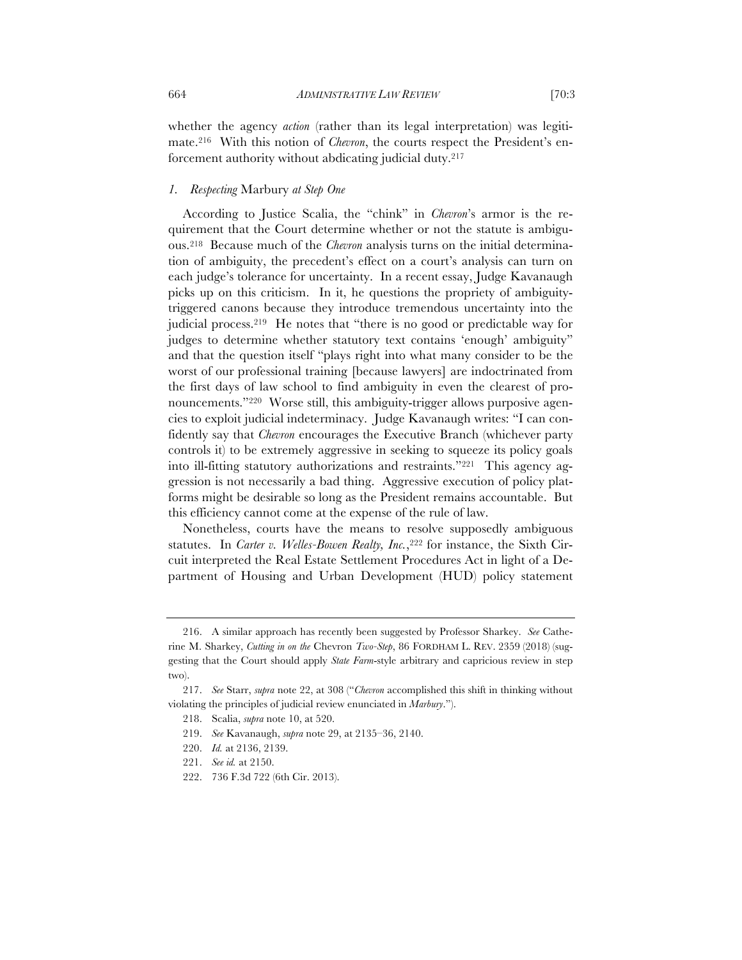whether the agency *action* (rather than its legal interpretation) was legitimate.216 With this notion of *Chevron*, the courts respect the President's enforcement authority without abdicating judicial duty.217

# *1. Respecting* Marbury *at Step One*

According to Justice Scalia, the "chink" in *Chevron*'s armor is the requirement that the Court determine whether or not the statute is ambiguous.218 Because much of the *Chevron* analysis turns on the initial determination of ambiguity, the precedent's effect on a court's analysis can turn on each judge's tolerance for uncertainty. In a recent essay, Judge Kavanaugh picks up on this criticism. In it, he questions the propriety of ambiguitytriggered canons because they introduce tremendous uncertainty into the judicial process.219 He notes that "there is no good or predictable way for judges to determine whether statutory text contains 'enough' ambiguity" and that the question itself "plays right into what many consider to be the worst of our professional training [because lawyers] are indoctrinated from the first days of law school to find ambiguity in even the clearest of pronouncements."<sup>220</sup> Worse still, this ambiguity-trigger allows purposive agencies to exploit judicial indeterminacy. Judge Kavanaugh writes: "I can confidently say that *Chevron* encourages the Executive Branch (whichever party controls it) to be extremely aggressive in seeking to squeeze its policy goals into ill-fitting statutory authorizations and restraints."221 This agency aggression is not necessarily a bad thing. Aggressive execution of policy platforms might be desirable so long as the President remains accountable. But this efficiency cannot come at the expense of the rule of law.

Nonetheless, courts have the means to resolve supposedly ambiguous statutes. In *Carter v. Welles-Bowen Realty, Inc.*,<sup>222</sup> for instance, the Sixth Circuit interpreted the Real Estate Settlement Procedures Act in light of a Department of Housing and Urban Development (HUD) policy statement

<sup>216.</sup> A similar approach has recently been suggested by Professor Sharkey. *See* Catherine M. Sharkey, *Cutting in on the* Chevron *Two-Step*, 86 FORDHAM L. REV. 2359 (2018) (suggesting that the Court should apply *State Farm*-style arbitrary and capricious review in step two).

<sup>217.</sup> *See* Starr, *supra* note 22, at 308 ("*Chevron* accomplished this shift in thinking without violating the principles of judicial review enunciated in *Marbury*.").

<sup>218.</sup> Scalia, *supra* note 10, at 520.

<sup>219.</sup> *See* Kavanaugh, *supra* note 29, at 2135–36, 2140.

<sup>220.</sup> *Id.* at 2136, 2139.

<sup>221.</sup> *See id.* at 2150.

<sup>222.</sup> 736 F.3d 722 (6th Cir. 2013).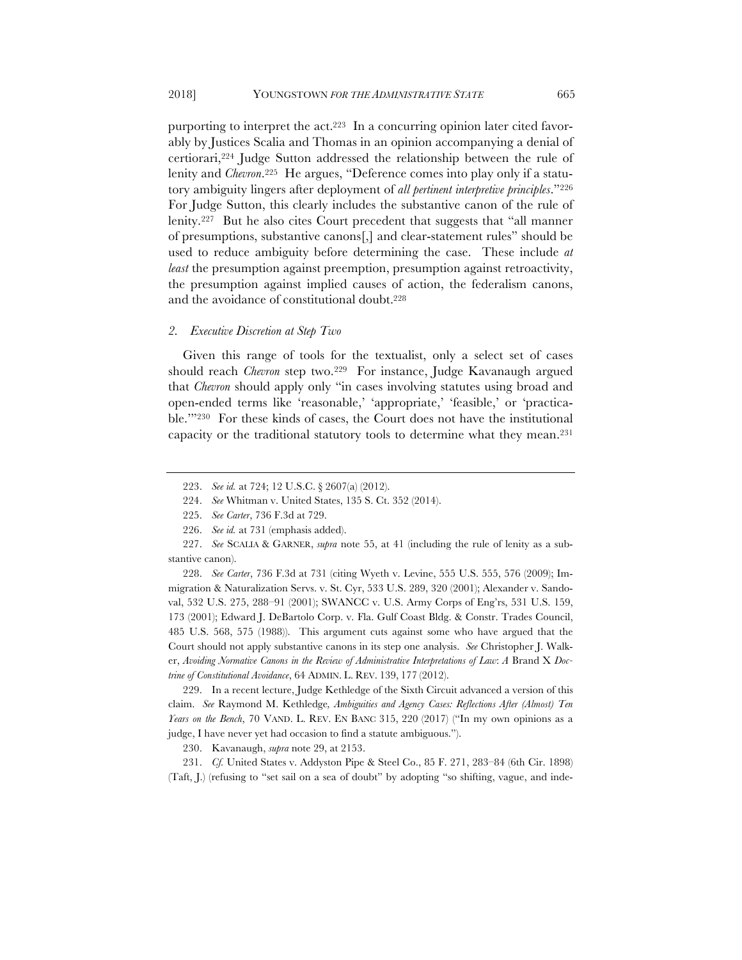purporting to interpret the act.223 In a concurring opinion later cited favorably by Justices Scalia and Thomas in an opinion accompanying a denial of certiorari,224 Judge Sutton addressed the relationship between the rule of lenity and *Chevron*.225 He argues, "Deference comes into play only if a statutory ambiguity lingers after deployment of *all pertinent interpretive principles*."226 For Judge Sutton, this clearly includes the substantive canon of the rule of lenity.227 But he also cites Court precedent that suggests that "all manner of presumptions, substantive canons[,] and clear-statement rules" should be used to reduce ambiguity before determining the case. These include *at least* the presumption against preemption, presumption against retroactivity, the presumption against implied causes of action, the federalism canons, and the avoidance of constitutional doubt.228

## *2. Executive Discretion at Step Two*

Given this range of tools for the textualist, only a select set of cases should reach *Chevron* step two.<sup>229</sup> For instance, Judge Kavanaugh argued that *Chevron* should apply only "in cases involving statutes using broad and open-ended terms like 'reasonable,' 'appropriate,' 'feasible,' or 'practicable.'"230 For these kinds of cases, the Court does not have the institutional capacity or the traditional statutory tools to determine what they mean.231

229. In a recent lecture, Judge Kethledge of the Sixth Circuit advanced a version of this claim. *See* Raymond M. Kethledge*, Ambiguities and Agency Cases: Reflections After (Almost) Ten Years on the Bench*, 70 VAND. L. REV. EN BANC 315, 220 (2017) ("In my own opinions as a judge, I have never yet had occasion to find a statute ambiguous.").

230. Kavanaugh, *supra* note 29, at 2153.

231. *Cf.* United States v. Addyston Pipe & Steel Co., 85 F. 271, 283–84 (6th Cir. 1898) (Taft, J.) (refusing to "set sail on a sea of doubt" by adopting "so shifting, vague, and inde-

<sup>223.</sup> *See id.* at 724; 12 U.S.C. § 2607(a) (2012).

<sup>224.</sup> *See* Whitman v. United States, 135 S. Ct. 352 (2014).

<sup>225.</sup> *See Carter*, 736 F.3d at 729.

<sup>226.</sup> *See id.* at 731 (emphasis added).

<sup>227.</sup> *See* SCALIA & GARNER, *supra* note 55, at 41 (including the rule of lenity as a substantive canon).

<sup>228.</sup> *See Carter*, 736 F.3d at 731 (citing Wyeth v. Levine, 555 U.S. 555, 576 (2009); Immigration & Naturalization Servs. v. St. Cyr, 533 U.S. 289, 320 (2001); Alexander v. Sandoval, 532 U.S. 275, 288–91 (2001); SWANCC v. U.S. Army Corps of Eng'rs, 531 U.S. 159, 173 (2001); Edward J. DeBartolo Corp. v. Fla. Gulf Coast Bldg. & Constr. Trades Council, 485 U.S. 568, 575 (1988)). This argument cuts against some who have argued that the Court should not apply substantive canons in its step one analysis. *See* Christopher J. Walker, *Avoiding Normative Canons in the Review of Administrative Interpretations of Law*: *A* Brand X *Doctrine of Constitutional Avoidance*, 64 ADMIN. L. REV. 139, 177 (2012).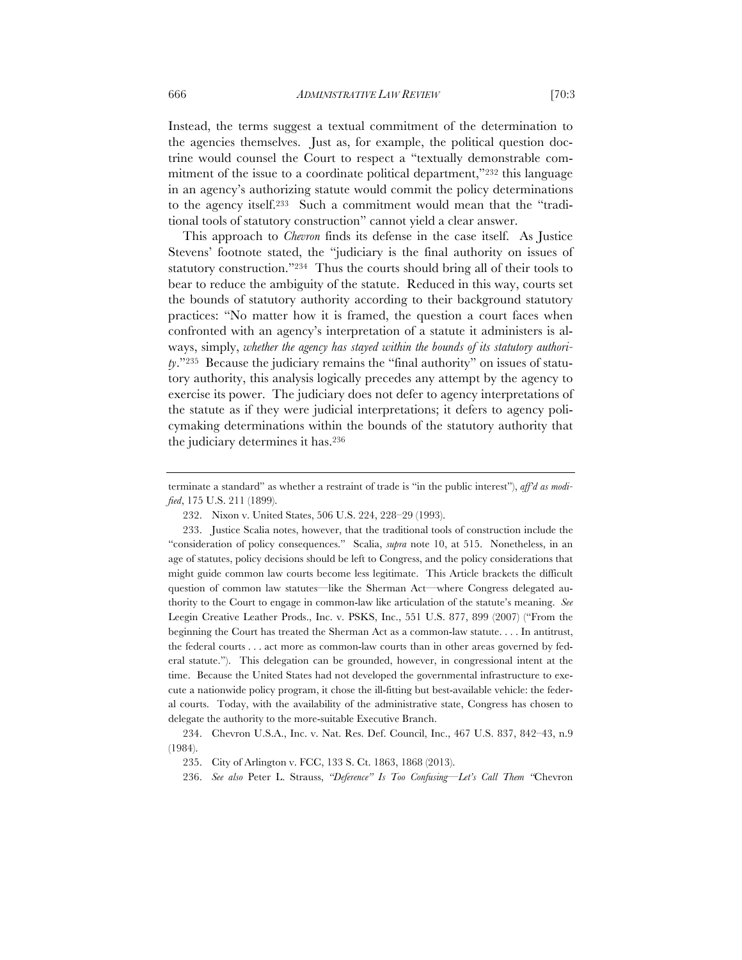Instead, the terms suggest a textual commitment of the determination to the agencies themselves. Just as, for example, the political question doctrine would counsel the Court to respect a "textually demonstrable commitment of the issue to a coordinate political department,"232 this language in an agency's authorizing statute would commit the policy determinations to the agency itself.233 Such a commitment would mean that the "traditional tools of statutory construction" cannot yield a clear answer.

This approach to *Chevron* finds its defense in the case itself. As Justice Stevens' footnote stated, the "judiciary is the final authority on issues of statutory construction."234 Thus the courts should bring all of their tools to bear to reduce the ambiguity of the statute. Reduced in this way, courts set the bounds of statutory authority according to their background statutory practices: "No matter how it is framed, the question a court faces when confronted with an agency's interpretation of a statute it administers is always, simply, *whether the agency has stayed within the bounds of its statutory authority*."235 Because the judiciary remains the "final authority" on issues of statutory authority, this analysis logically precedes any attempt by the agency to exercise its power. The judiciary does not defer to agency interpretations of the statute as if they were judicial interpretations; it defers to agency policymaking determinations within the bounds of the statutory authority that the judiciary determines it has.236

terminate a standard" as whether a restraint of trade is "in the public interest"), *aff'd as modified*, 175 U.S. 211 (1899).

<sup>232.</sup> Nixon v. United States, 506 U.S. 224, 228–29 (1993).

<sup>233.</sup> Justice Scalia notes, however, that the traditional tools of construction include the "consideration of policy consequences." Scalia, *supra* note 10, at 515. Nonetheless, in an age of statutes, policy decisions should be left to Congress, and the policy considerations that might guide common law courts become less legitimate. This Article brackets the difficult question of common law statutes—like the Sherman Act—where Congress delegated authority to the Court to engage in common-law like articulation of the statute's meaning. *See* Leegin Creative Leather Prods., Inc. v. PSKS, Inc., 551 U.S. 877, 899 (2007) ("From the beginning the Court has treated the Sherman Act as a common-law statute. . . . In antitrust, the federal courts . . . act more as common-law courts than in other areas governed by federal statute."). This delegation can be grounded, however, in congressional intent at the time. Because the United States had not developed the governmental infrastructure to execute a nationwide policy program, it chose the ill-fitting but best-available vehicle: the federal courts. Today, with the availability of the administrative state, Congress has chosen to delegate the authority to the more-suitable Executive Branch.

<sup>234.</sup> Chevron U.S.A., Inc. v. Nat. Res. Def. Council, Inc., 467 U.S. 837, 842–43, n.9 (1984).

<sup>235.</sup> City of Arlington v. FCC, 133 S. Ct. 1863, 1868 (2013).

<sup>236.</sup> *See also* Peter L. Strauss, *"Deference" Is Too Confusing—Let's Call Them "*Chevron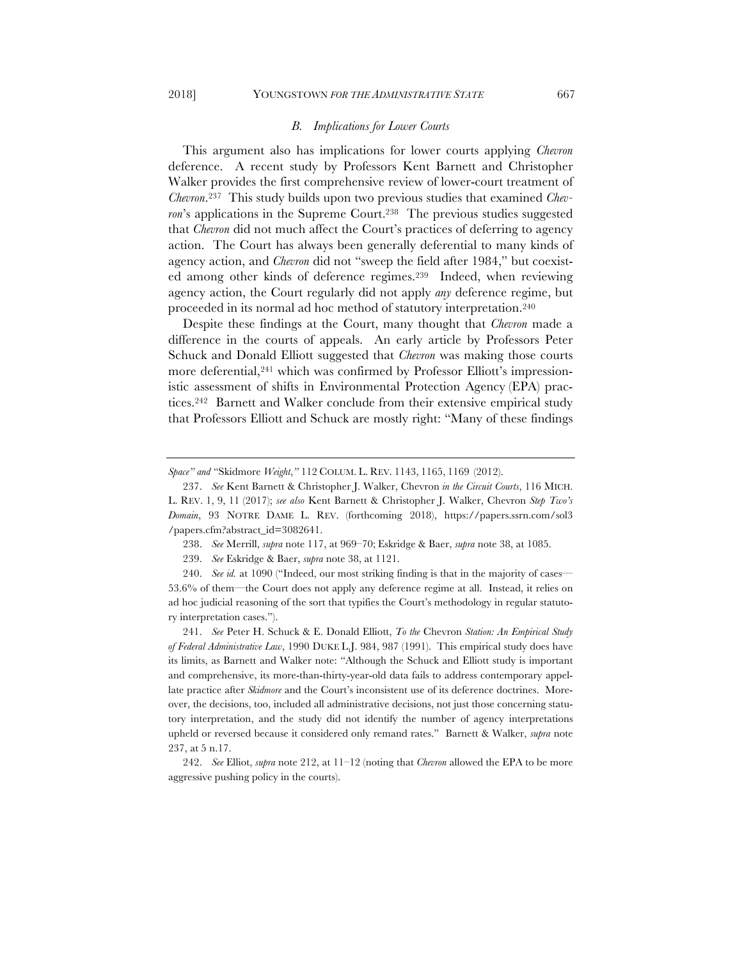#### *B. Implications for Lower Courts*

This argument also has implications for lower courts applying *Chevron* deference. A recent study by Professors Kent Barnett and Christopher Walker provides the first comprehensive review of lower-court treatment of *Chevron*.237 This study builds upon two previous studies that examined *Chevron*'s applications in the Supreme Court.<sup>238</sup> The previous studies suggested that *Chevron* did not much affect the Court's practices of deferring to agency action. The Court has always been generally deferential to many kinds of agency action, and *Chevron* did not "sweep the field after 1984," but coexisted among other kinds of deference regimes.239 Indeed, when reviewing agency action, the Court regularly did not apply *any* deference regime, but proceeded in its normal ad hoc method of statutory interpretation.240

Despite these findings at the Court, many thought that *Chevron* made a difference in the courts of appeals. An early article by Professors Peter Schuck and Donald Elliott suggested that *Chevron* was making those courts more deferential,<sup>241</sup> which was confirmed by Professor Elliott's impressionistic assessment of shifts in Environmental Protection Agency (EPA) practices.242 Barnett and Walker conclude from their extensive empirical study that Professors Elliott and Schuck are mostly right: "Many of these findings

238. *See* Merrill, *supra* note 117, at 969–70; Eskridge & Baer, *supra* note 38, at 1085.

239. *See* Eskridge & Baer, *supra* note 38, at 1121.

240. *See id.* at 1090 ("Indeed, our most striking finding is that in the majority of cases— 53.6% of them—the Court does not apply any deference regime at all. Instead, it relies on ad hoc judicial reasoning of the sort that typifies the Court's methodology in regular statutory interpretation cases.").

241. *See* Peter H. Schuck & E. Donald Elliott, *To the* Chevron *Station: An Empirical Study of Federal Administrative Law*, 1990 DUKE L.J. 984, 987 (1991). This empirical study does have its limits, as Barnett and Walker note: "Although the Schuck and Elliott study is important and comprehensive, its more-than-thirty-year-old data fails to address contemporary appellate practice after *Skidmore* and the Court's inconsistent use of its deference doctrines. Moreover, the decisions, too, included all administrative decisions, not just those concerning statutory interpretation, and the study did not identify the number of agency interpretations upheld or reversed because it considered only remand rates." Barnett & Walker, *supra* note 237, at 5 n.17.

242. *See* Elliot, *supra* note 212, at 11–12 (noting that *Chevron* allowed the EPA to be more aggressive pushing policy in the courts).

*Space" and* "Skidmore *Weight*,*"* 112 COLUM. L. REV. 1143, 1165, 1169 (2012).

<sup>237.</sup> *See* Kent Barnett & Christopher J. Walker, Chevron *in the Circuit Courts*, 116 MICH. L. REV. 1, 9, 11 (2017); *see also* Kent Barnett & Christopher J. Walker, Chevron *Step Two's Domain*, 93 NOTRE DAME L. REV. (forthcoming 2018), https://papers.ssrn.com/sol3 /papers.cfm?abstract\_id=3082641.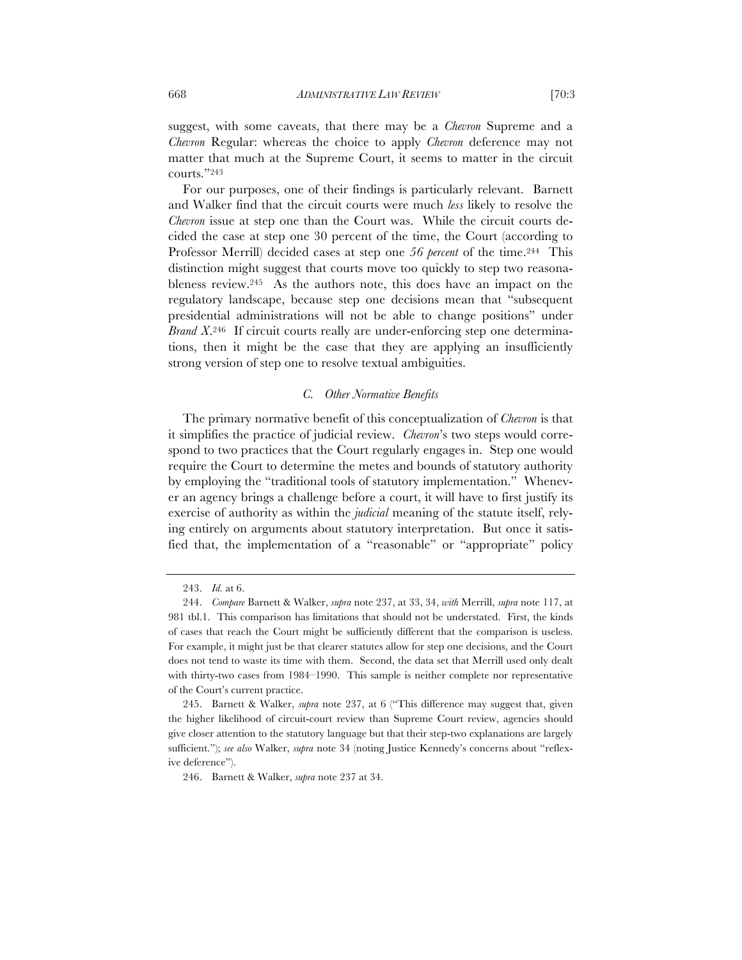suggest, with some caveats, that there may be a *Chevron* Supreme and a *Chevron* Regular: whereas the choice to apply *Chevron* deference may not matter that much at the Supreme Court, it seems to matter in the circuit courts."243

For our purposes, one of their findings is particularly relevant. Barnett and Walker find that the circuit courts were much *less* likely to resolve the *Chevron* issue at step one than the Court was. While the circuit courts decided the case at step one 30 percent of the time, the Court (according to Professor Merrill) decided cases at step one *56 percent* of the time.244 This distinction might suggest that courts move too quickly to step two reasonableness review.245 As the authors note, this does have an impact on the regulatory landscape, because step one decisions mean that "subsequent presidential administrations will not be able to change positions" under *Brand X*.246 If circuit courts really are under-enforcing step one determinations, then it might be the case that they are applying an insufficiently strong version of step one to resolve textual ambiguities.

# *C. Other Normative Benefits*

The primary normative benefit of this conceptualization of *Chevron* is that it simplifies the practice of judicial review. *Chevron*'s two steps would correspond to two practices that the Court regularly engages in. Step one would require the Court to determine the metes and bounds of statutory authority by employing the "traditional tools of statutory implementation." Whenever an agency brings a challenge before a court, it will have to first justify its exercise of authority as within the *judicial* meaning of the statute itself, relying entirely on arguments about statutory interpretation. But once it satisfied that, the implementation of a "reasonable" or "appropriate" policy

<sup>243.</sup> *Id.* at 6.

<sup>244.</sup> *Compare* Barnett & Walker, *supra* note 237, at 33, 34, *with* Merrill, *supra* note 117, at 981 tbl.1. This comparison has limitations that should not be understated. First, the kinds of cases that reach the Court might be sufficiently different that the comparison is useless. For example, it might just be that clearer statutes allow for step one decisions, and the Court does not tend to waste its time with them. Second, the data set that Merrill used only dealt with thirty-two cases from 1984–1990. This sample is neither complete nor representative of the Court's current practice.

<sup>245.</sup> Barnett & Walker, *supra* note 237, at 6 ("This difference may suggest that, given the higher likelihood of circuit-court review than Supreme Court review, agencies should give closer attention to the statutory language but that their step-two explanations are largely sufficient."); *see also* Walker, *supra* note 34 (noting Justice Kennedy's concerns about "reflexive deference").

<sup>246.</sup> Barnett & Walker, *supra* note 237 at 34.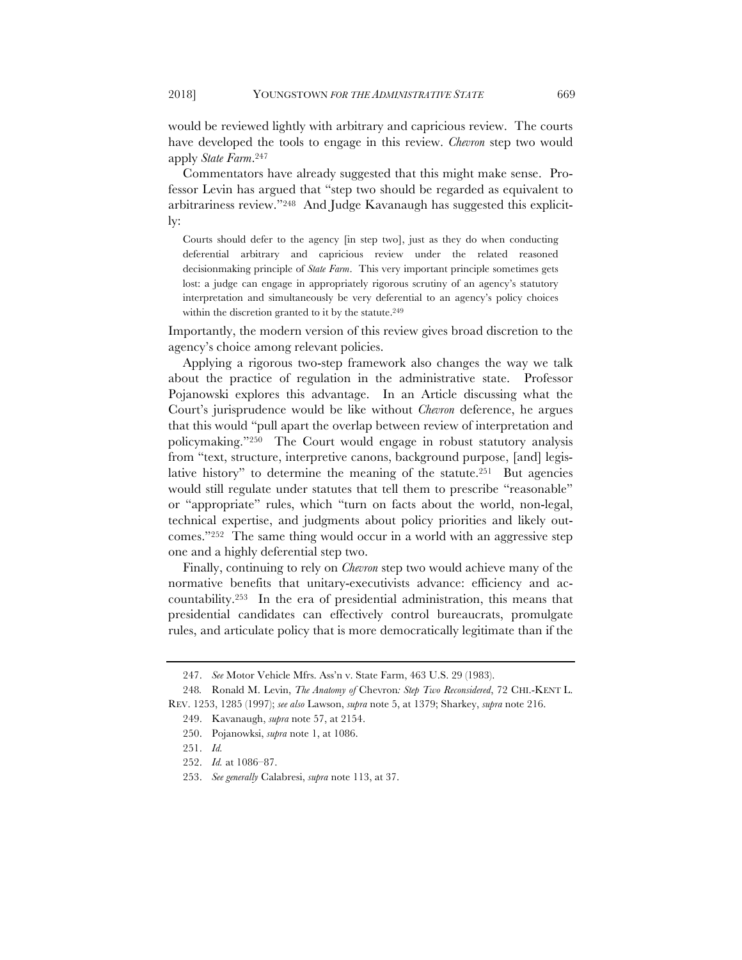would be reviewed lightly with arbitrary and capricious review. The courts have developed the tools to engage in this review. *Chevron* step two would apply *State Farm*.247

Commentators have already suggested that this might make sense. Professor Levin has argued that "step two should be regarded as equivalent to arbitrariness review."248 And Judge Kavanaugh has suggested this explicitly:

Courts should defer to the agency [in step two], just as they do when conducting deferential arbitrary and capricious review under the related reasoned decisionmaking principle of *State Farm*. This very important principle sometimes gets lost: a judge can engage in appropriately rigorous scrutiny of an agency's statutory interpretation and simultaneously be very deferential to an agency's policy choices within the discretion granted to it by the statute.<sup>249</sup>

Importantly, the modern version of this review gives broad discretion to the agency's choice among relevant policies.

Applying a rigorous two-step framework also changes the way we talk about the practice of regulation in the administrative state. Professor Pojanowski explores this advantage. In an Article discussing what the Court's jurisprudence would be like without *Chevron* deference, he argues that this would "pull apart the overlap between review of interpretation and policymaking."250 The Court would engage in robust statutory analysis from "text, structure, interpretive canons, background purpose, [and] legislative history" to determine the meaning of the statute.<sup>251</sup> But agencies would still regulate under statutes that tell them to prescribe "reasonable" or "appropriate" rules, which "turn on facts about the world, non-legal, technical expertise, and judgments about policy priorities and likely outcomes."252 The same thing would occur in a world with an aggressive step one and a highly deferential step two.

Finally, continuing to rely on *Chevron* step two would achieve many of the normative benefits that unitary-executivists advance: efficiency and accountability.253 In the era of presidential administration, this means that presidential candidates can effectively control bureaucrats, promulgate rules, and articulate policy that is more democratically legitimate than if the

<sup>247.</sup> *See* Motor Vehicle Mfrs. Ass'n v. State Farm, 463 U.S. 29 (1983).

<sup>248</sup>*.* Ronald M. Levin, *The Anatomy of* Chevron*: Step Two Reconsidered*, 72 CHI.-KENT L. REV. 1253, 1285 (1997); *see also* Lawson, *supra* note 5, at 1379; Sharkey, *supra* note 216.

<sup>249.</sup> Kavanaugh, *supra* note 57, at 2154.

<sup>250.</sup> Pojanowksi, *supra* note 1, at 1086.

<sup>251.</sup> *Id.*

<sup>252.</sup> *Id.* at 1086–87.

<sup>253.</sup> *See generally* Calabresi, *supra* note 113, at 37.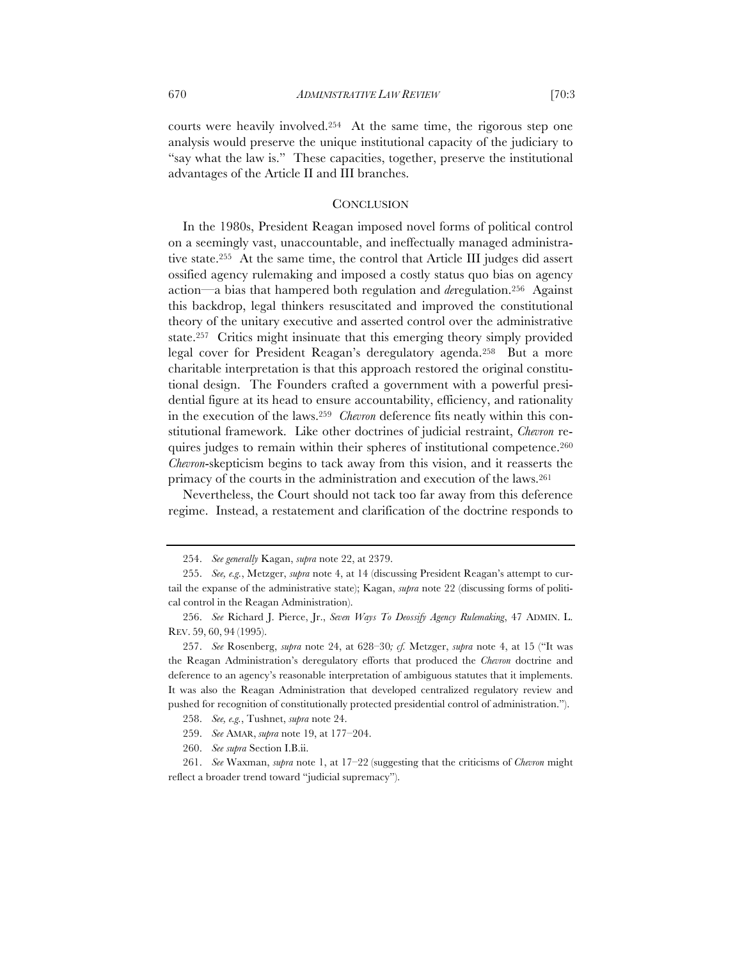courts were heavily involved.254 At the same time, the rigorous step one analysis would preserve the unique institutional capacity of the judiciary to "say what the law is." These capacities, together, preserve the institutional advantages of the Article II and III branches.

#### **CONCLUSION**

In the 1980s, President Reagan imposed novel forms of political control on a seemingly vast, unaccountable, and ineffectually managed administrative state.255 At the same time, the control that Article III judges did assert ossified agency rulemaking and imposed a costly status quo bias on agency action—a bias that hampered both regulation and *de*regulation.256 Against this backdrop, legal thinkers resuscitated and improved the constitutional theory of the unitary executive and asserted control over the administrative state.257 Critics might insinuate that this emerging theory simply provided legal cover for President Reagan's deregulatory agenda.258 But a more charitable interpretation is that this approach restored the original constitutional design. The Founders crafted a government with a powerful presidential figure at its head to ensure accountability, efficiency, and rationality in the execution of the laws.259 *Chevron* deference fits neatly within this constitutional framework. Like other doctrines of judicial restraint, *Chevron* requires judges to remain within their spheres of institutional competence.260 *Chevron*-skepticism begins to tack away from this vision, and it reasserts the primacy of the courts in the administration and execution of the laws.261

Nevertheless, the Court should not tack too far away from this deference regime. Instead, a restatement and clarification of the doctrine responds to

<sup>254.</sup> *See generally* Kagan, *supra* note 22, at 2379.

<sup>255.</sup> *See, e.g.*, Metzger, *supra* note 4, at 14 (discussing President Reagan's attempt to curtail the expanse of the administrative state); Kagan, *supra* note 22 (discussing forms of political control in the Reagan Administration).

<sup>256.</sup> *See* Richard J. Pierce, Jr., *Seven Ways To Deossify Agency Rulemaking*, 47 ADMIN. L. REV. 59, 60, 94 (1995).

<sup>257.</sup> *See* Rosenberg, *supra* note 24, at 628–30*; cf.* Metzger, *supra* note 4, at 15 ("It was the Reagan Administration's deregulatory efforts that produced the *Chevron* doctrine and deference to an agency's reasonable interpretation of ambiguous statutes that it implements. It was also the Reagan Administration that developed centralized regulatory review and pushed for recognition of constitutionally protected presidential control of administration.").

<sup>258.</sup> *See, e.g.*, Tushnet, *supra* note 24.

<sup>259.</sup> *See* AMAR, *supra* note 19, at 177–204.

<sup>260.</sup> *See supra* Section I.B.ii.

<sup>261.</sup> *See* Waxman, *supra* note 1, at 17–22 (suggesting that the criticisms of *Chevron* might reflect a broader trend toward "judicial supremacy").